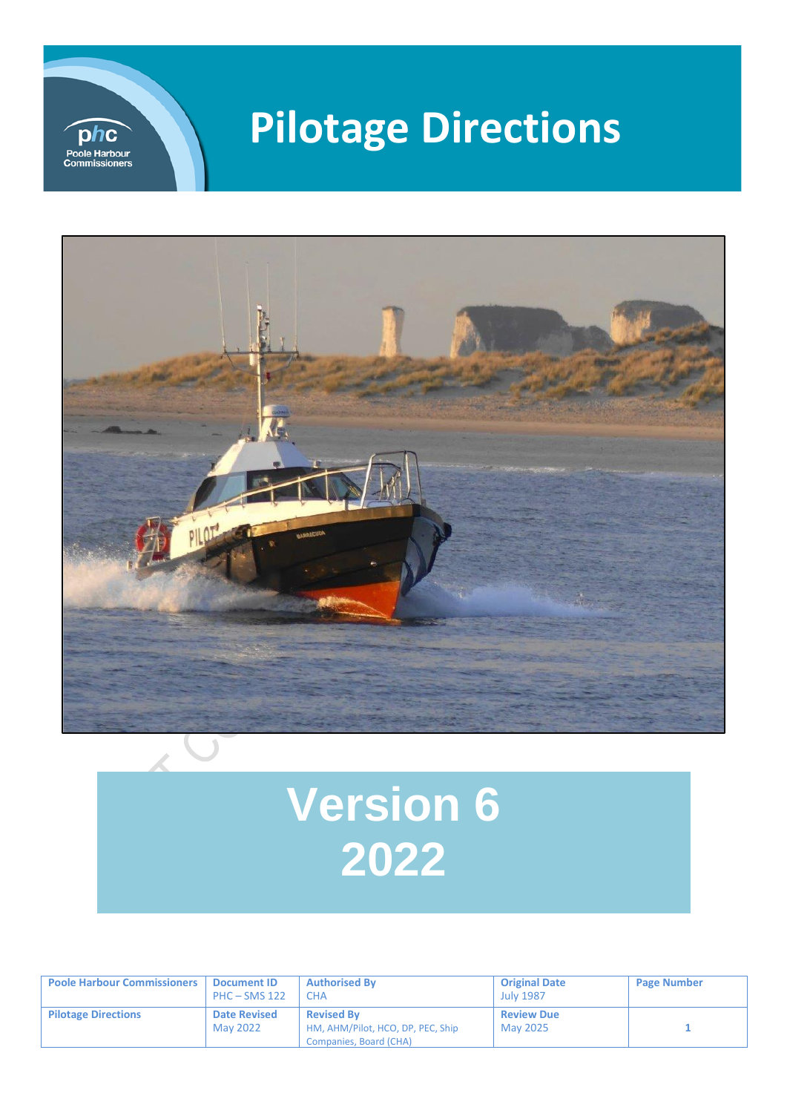

## **Pilotage Directions**



# **Version 6 2022**

| <b>Poole Harbour Commissioners</b> | Document ID<br>$PHC - SMS 122$  | <b>Authorised By</b><br>СНА                                                      | <b>Original Date</b><br><b>July 1987</b> | <b>Page Number</b> |
|------------------------------------|---------------------------------|----------------------------------------------------------------------------------|------------------------------------------|--------------------|
| <b>Pilotage Directions</b>         | <b>Date Revised</b><br>May 2022 | <b>Revised By</b><br>HM, AHM/Pilot, HCO, DP, PEC, Ship<br>Companies, Board (CHA) | <b>Review Due</b><br>May 2025            |                    |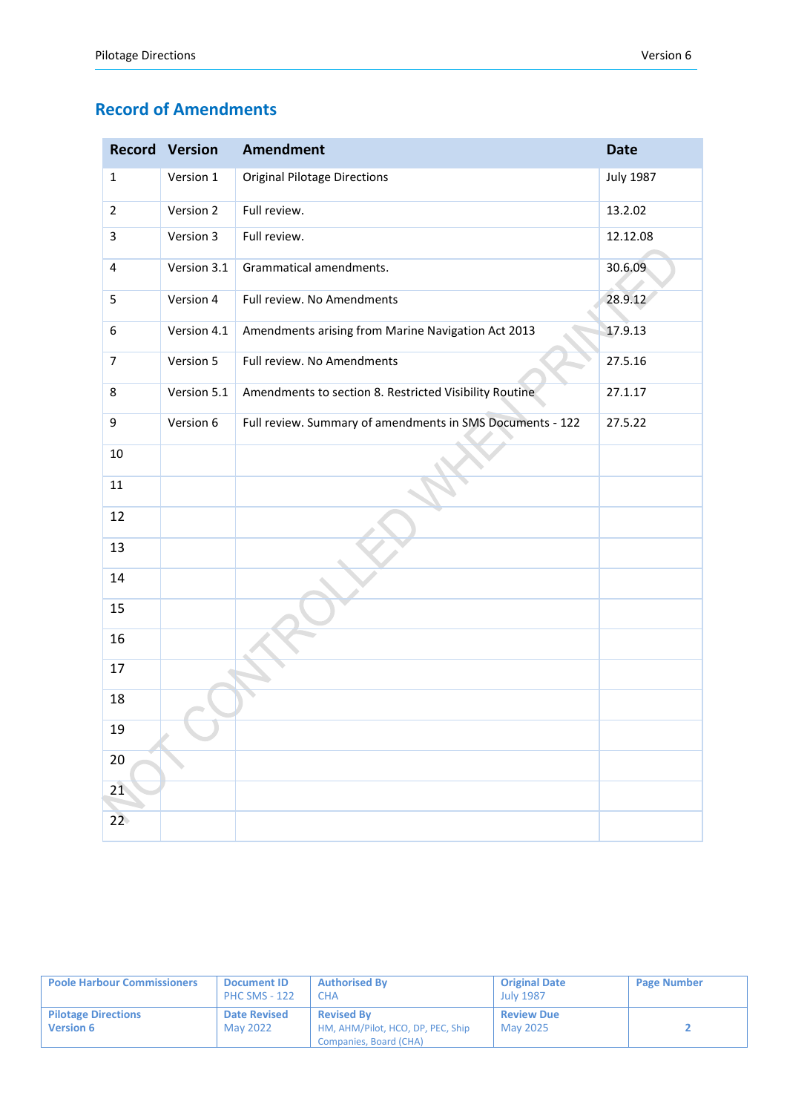## **Record of Amendments**

|                | <b>Record Version</b> | <b>Amendment</b>                                          | <b>Date</b>      |
|----------------|-----------------------|-----------------------------------------------------------|------------------|
| $\mathbf{1}$   | Version 1             | <b>Original Pilotage Directions</b>                       | <b>July 1987</b> |
| $\overline{2}$ | Version 2             | Full review.                                              | 13.2.02          |
| 3              | Version 3             | Full review.                                              | 12.12.08         |
| 4              | Version 3.1           | Grammatical amendments.                                   | 30.6.09          |
| 5              | Version 4             | Full review. No Amendments                                | 28.9.12          |
| 6              | Version 4.1           | Amendments arising from Marine Navigation Act 2013        | 17.9.13          |
| $\overline{7}$ | Version 5             | Full review. No Amendments                                | 27.5.16          |
| 8              | Version 5.1           | Amendments to section 8. Restricted Visibility Routine    | 27.1.17          |
| 9              | Version 6             | Full review. Summary of amendments in SMS Documents - 122 | 27.5.22          |
| $10\,$         |                       |                                                           |                  |
| $11\,$         |                       |                                                           |                  |
| 12             |                       |                                                           |                  |
| 13             |                       |                                                           |                  |
| 14             |                       |                                                           |                  |
| 15             |                       |                                                           |                  |
| 16             |                       |                                                           |                  |
| 17             |                       |                                                           |                  |
| 18             |                       |                                                           |                  |
| 19             |                       |                                                           |                  |
| $20\,$         |                       |                                                           |                  |
| 21             |                       |                                                           |                  |
| 22             |                       |                                                           |                  |

| <b>Poole Harbour Commissioners</b>             | <b>Document ID</b><br><b>PHC SMS - 122</b> | <b>Authorised By</b><br><b>CHA</b>                                               | <b>Original Date</b><br><b>July 1987</b> | <b>Page Number</b> |
|------------------------------------------------|--------------------------------------------|----------------------------------------------------------------------------------|------------------------------------------|--------------------|
| <b>Pilotage Directions</b><br><b>Version 6</b> | <b>Date Revised</b><br>May 2022            | <b>Revised By</b><br>HM, AHM/Pilot, HCO, DP, PEC, Ship<br>Companies, Board (CHA) | <b>Review Due</b><br>May 2025            |                    |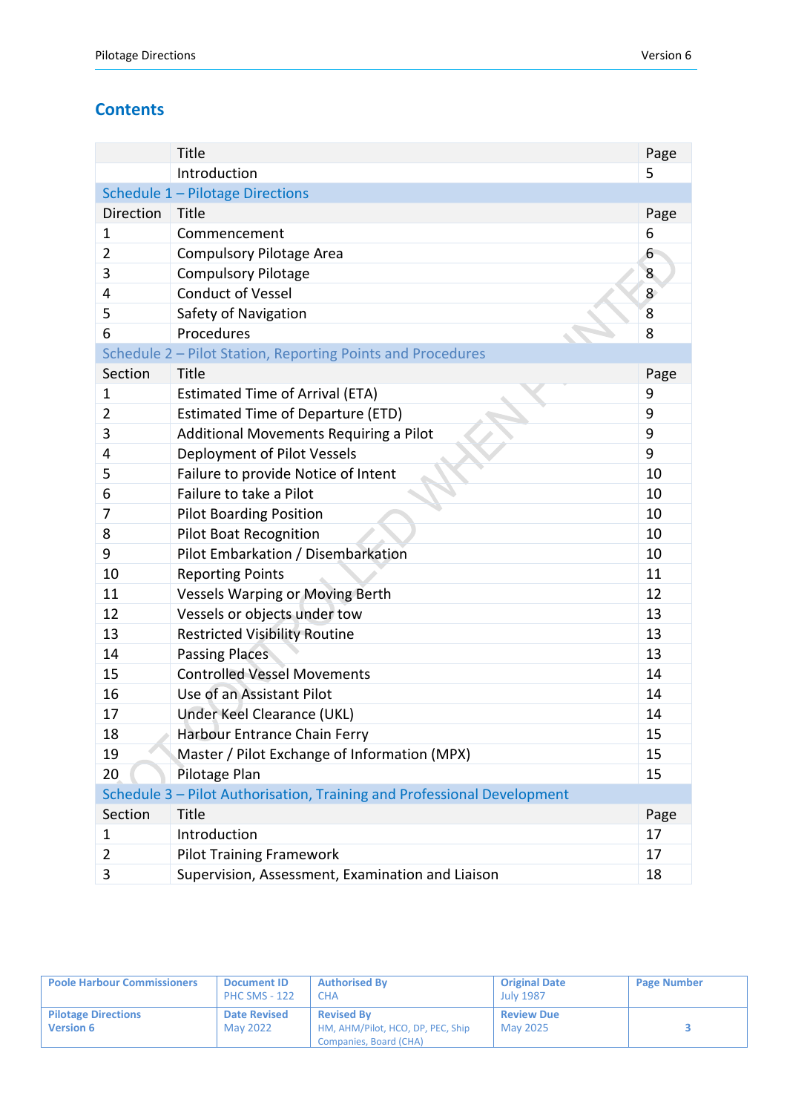## **Contents**

|                  | <b>Title</b>                                                            | Page |
|------------------|-------------------------------------------------------------------------|------|
|                  | Introduction                                                            | 5    |
|                  | Schedule 1 - Pilotage Directions                                        |      |
| <b>Direction</b> | Title                                                                   | Page |
| 1                | Commencement                                                            | 6    |
| $\overline{2}$   | <b>Compulsory Pilotage Area</b>                                         | 6    |
| 3                | <b>Compulsory Pilotage</b>                                              | 8    |
| 4                | <b>Conduct of Vessel</b>                                                | 8    |
| 5                | Safety of Navigation                                                    | 8    |
| 6                | Procedures                                                              | 8    |
|                  | Schedule 2 - Pilot Station, Reporting Points and Procedures             |      |
| Section          | <b>Title</b>                                                            | Page |
| 1                | <b>Estimated Time of Arrival (ETA)</b>                                  | 9    |
| $\overline{2}$   | <b>Estimated Time of Departure (ETD)</b>                                | 9    |
| 3                | Additional Movements Requiring a Pilot                                  | 9    |
| 4                | Deployment of Pilot Vessels                                             | 9    |
| 5                | Failure to provide Notice of Intent                                     | 10   |
| 6                | Failure to take a Pilot                                                 | 10   |
| 7                | <b>Pilot Boarding Position</b>                                          | 10   |
| 8                | <b>Pilot Boat Recognition</b>                                           | 10   |
| 9                | Pilot Embarkation / Disembarkation                                      | 10   |
| 10               | <b>Reporting Points</b>                                                 | 11   |
| 11               | <b>Vessels Warping or Moving Berth</b>                                  | 12   |
| 12               | Vessels or objects under tow                                            | 13   |
| 13               | <b>Restricted Visibility Routine</b>                                    | 13   |
| 14               | <b>Passing Places</b>                                                   | 13   |
| 15               | <b>Controlled Vessel Movements</b>                                      | 14   |
| 16               | Use of an Assistant Pilot                                               | 14   |
| 17               | Under Keel Clearance (UKL)                                              | 14   |
| 18               | Harbour Entrance Chain Ferry                                            | 15   |
| 19               | Master / Pilot Exchange of Information (MPX)                            | 15   |
| 20               | Pilotage Plan                                                           | 15   |
|                  | Schedule 3 - Pilot Authorisation, Training and Professional Development |      |
| Section          | Title                                                                   | Page |
| 1                | Introduction                                                            | 17   |
| $\overline{2}$   | <b>Pilot Training Framework</b>                                         | 17   |
| 3                | Supervision, Assessment, Examination and Liaison                        | 18   |

| <b>Poole Harbour Commissioners</b>             | <b>Document ID</b><br><b>PHC SMS - 122</b> | <b>Authorised By</b><br><b>CHA</b>                                               | <b>Original Date</b><br><b>July 1987</b> | <b>Page Number</b> |
|------------------------------------------------|--------------------------------------------|----------------------------------------------------------------------------------|------------------------------------------|--------------------|
| <b>Pilotage Directions</b><br><b>Version 6</b> | <b>Date Revised</b><br>May 2022            | <b>Revised By</b><br>HM, AHM/Pilot, HCO, DP, PEC, Ship<br>Companies, Board (CHA) | <b>Review Due</b><br><b>May 2025</b>     |                    |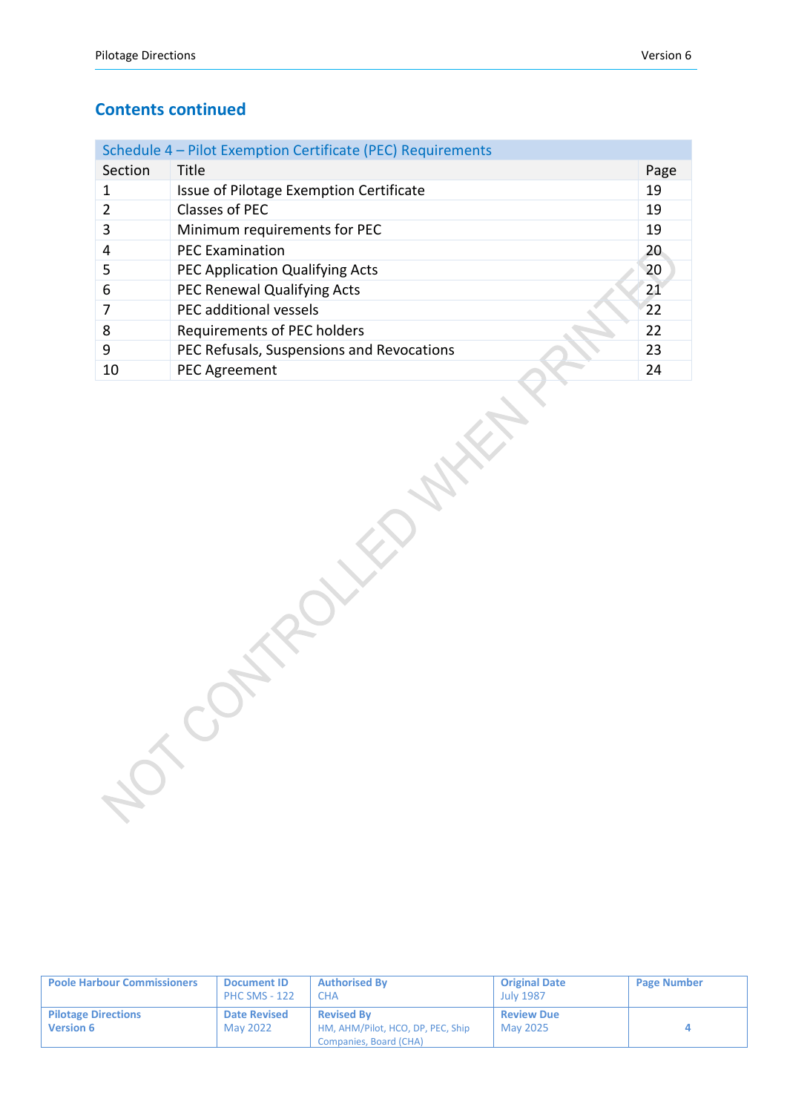#### **Contents continued**

|         | Schedule 4 - Pilot Exemption Certificate (PEC) Requirements |      |
|---------|-------------------------------------------------------------|------|
| Section | Title                                                       | Page |
|         | Issue of Pilotage Exemption Certificate                     | 19   |
|         | Classes of PEC                                              | 19   |
| 3       | Minimum requirements for PEC                                | 19   |
| 4       | <b>PEC Examination</b>                                      | 20   |
| 5       | PEC Application Qualifying Acts                             | 20   |
| 6       | PEC Renewal Qualifying Acts                                 | 21   |
|         | PEC additional vessels                                      | 22   |
| 8       | Requirements of PEC holders                                 | 22   |
| 9       | PEC Refusals, Suspensions and Revocations                   | 23   |
| 10      | <b>PEC Agreement</b>                                        | 24   |

| <b>Poole Harbour Commissioners</b>             | <b>Document ID</b><br><b>PHC SMS - 122</b> | <b>Authorised By</b><br><b>CHA</b>                                               | <b>Original Date</b><br><b>July 1987</b> | <b>Page Number</b> |
|------------------------------------------------|--------------------------------------------|----------------------------------------------------------------------------------|------------------------------------------|--------------------|
| <b>Pilotage Directions</b><br><b>Version 6</b> | <b>Date Revised</b><br>May 2022            | <b>Revised By</b><br>HM, AHM/Pilot, HCO, DP, PEC, Ship<br>Companies, Board (CHA) | <b>Review Due</b><br>May 2025            |                    |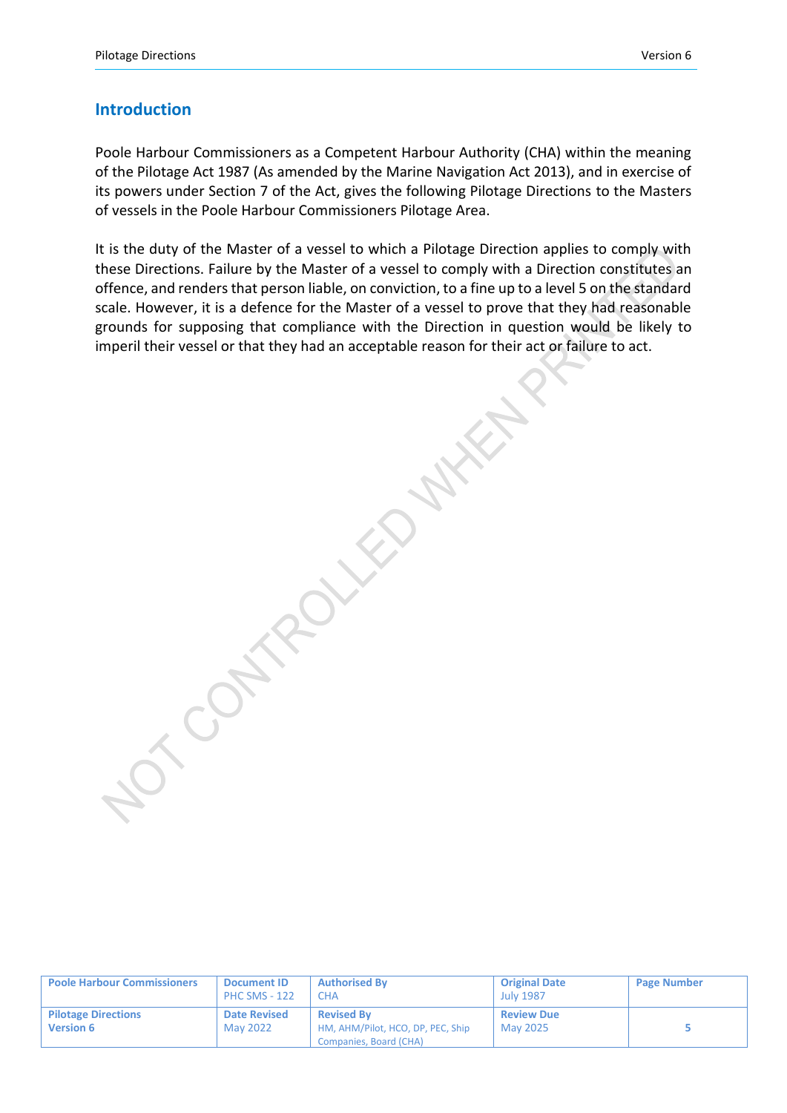#### **Introduction**

Poole Harbour Commissioners as a Competent Harbour Authority (CHA) within the meaning of the Pilotage Act 1987 (As amended by the Marine Navigation Act 2013), and in exercise of its powers under Section 7 of the Act, gives the following Pilotage Directions to the Masters of vessels in the Poole Harbour Commissioners Pilotage Area.

It is the duty of the Master of a vessel to which a Pilotage Direction applies to comply with these Directions. Failure by the Master of a vessel to comply with a Direction constitutes an offence, and renders that person liable, on conviction, to a fine up to a level 5 on the standard scale. However, it is a defence for the Master of a vessel to prove that they had reasonable grounds for supposing that compliance with the Direction in question would be likely to imperil their vessel or that they had an acceptable reason for their act or failure to act.

CONTROLLED NW

| <b>Poole Harbour Commissioners</b>             | <b>Document ID</b><br><b>PHC SMS - 122</b> | <b>Authorised By</b><br>CHA                                                      | <b>Original Date</b><br><b>July 1987</b> | <b>Page Number</b> |
|------------------------------------------------|--------------------------------------------|----------------------------------------------------------------------------------|------------------------------------------|--------------------|
| <b>Pilotage Directions</b><br><b>Version 6</b> | <b>Date Revised</b><br>May 2022            | <b>Revised By</b><br>HM, AHM/Pilot, HCO, DP, PEC, Ship<br>Companies, Board (CHA) | <b>Review Due</b><br>May 2025            |                    |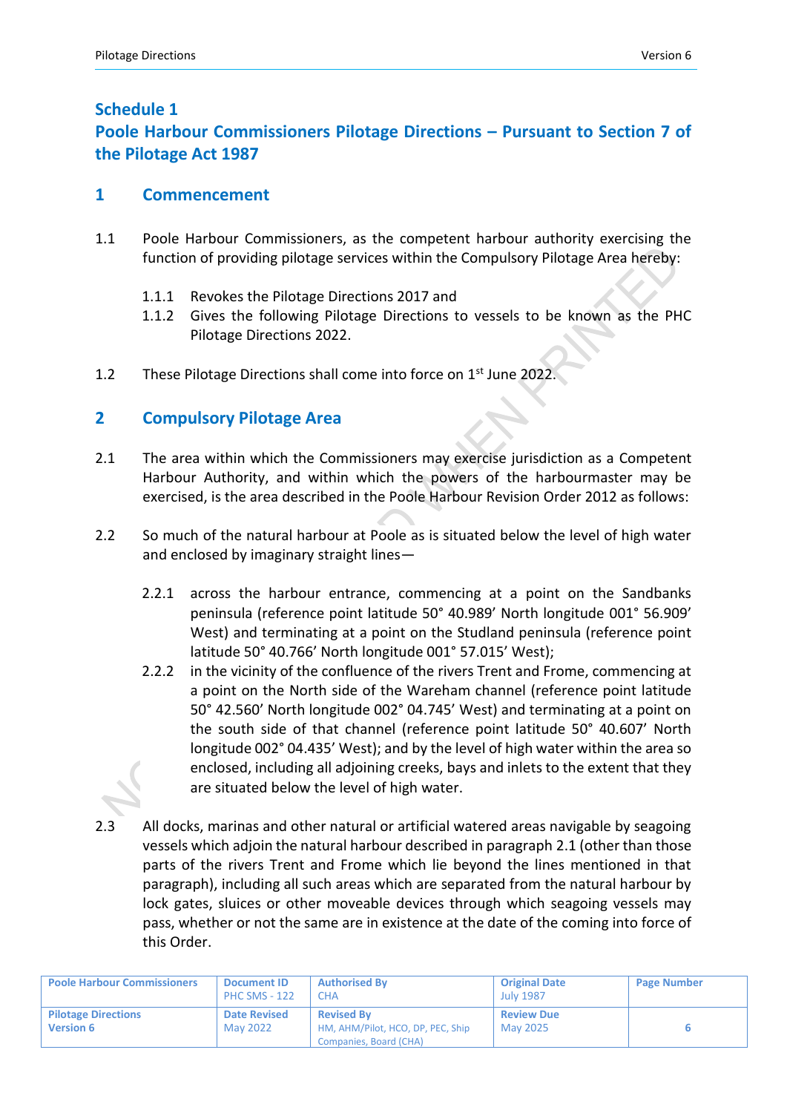### **Schedule 1**

## **Poole Harbour Commissioners Pilotage Directions – Pursuant to Section 7 of the Pilotage Act 1987**

#### **1 Commencement**

- 1.1 Poole Harbour Commissioners, as the competent harbour authority exercising the function of providing pilotage services within the Compulsory Pilotage Area hereby:
	- 1.1.1 Revokes the Pilotage Directions 2017 and
	- 1.1.2 Gives the following Pilotage Directions to vessels to be known as the PHC Pilotage Directions 2022.
- 1.2 These Pilotage Directions shall come into force on 1<sup>st</sup> June 2022.

## **2 Compulsory Pilotage Area**

- 2.1 The area within which the Commissioners may exercise jurisdiction as a Competent Harbour Authority, and within which the powers of the harbourmaster may be exercised, is the area described in the Poole Harbour Revision Order 2012 as follows:
- 2.2 So much of the natural harbour at Poole as is situated below the level of high water and enclosed by imaginary straight lines—
	- 2.2.1 across the harbour entrance, commencing at a point on the Sandbanks peninsula (reference point latitude 50° 40.989' North longitude 001° 56.909' West) and terminating at a point on the Studland peninsula (reference point latitude 50° 40.766' North longitude 001° 57.015' West);
	- 2.2.2 in the vicinity of the confluence of the rivers Trent and Frome, commencing at a point on the North side of the Wareham channel (reference point latitude 50° 42.560' North longitude 002° 04.745' West) and terminating at a point on the south side of that channel (reference point latitude 50° 40.607' North longitude 002° 04.435' West); and by the level of high water within the area so enclosed, including all adjoining creeks, bays and inlets to the extent that they are situated below the level of high water.
- 2.3 All docks, marinas and other natural or artificial watered areas navigable by seagoing vessels which adjoin the natural harbour described in paragraph 2.1 (other than those parts of the rivers Trent and Frome which lie beyond the lines mentioned in that paragraph), including all such areas which are separated from the natural harbour by lock gates, sluices or other moveable devices through which seagoing vessels may pass, whether or not the same are in existence at the date of the coming into force of this Order.

| <b>Poole Harbour Commissioners</b>             | <b>Document ID</b><br><b>PHC SMS - 122</b> | <b>Authorised By</b><br><b>CHA</b>                                               | <b>Original Date</b><br><b>July 1987</b> | <b>Page Number</b> |
|------------------------------------------------|--------------------------------------------|----------------------------------------------------------------------------------|------------------------------------------|--------------------|
| <b>Pilotage Directions</b><br><b>Version 6</b> | <b>Date Revised</b><br>May 2022            | <b>Revised By</b><br>HM, AHM/Pilot, HCO, DP, PEC, Ship<br>Companies, Board (CHA) | <b>Review Due</b><br>May 2025            |                    |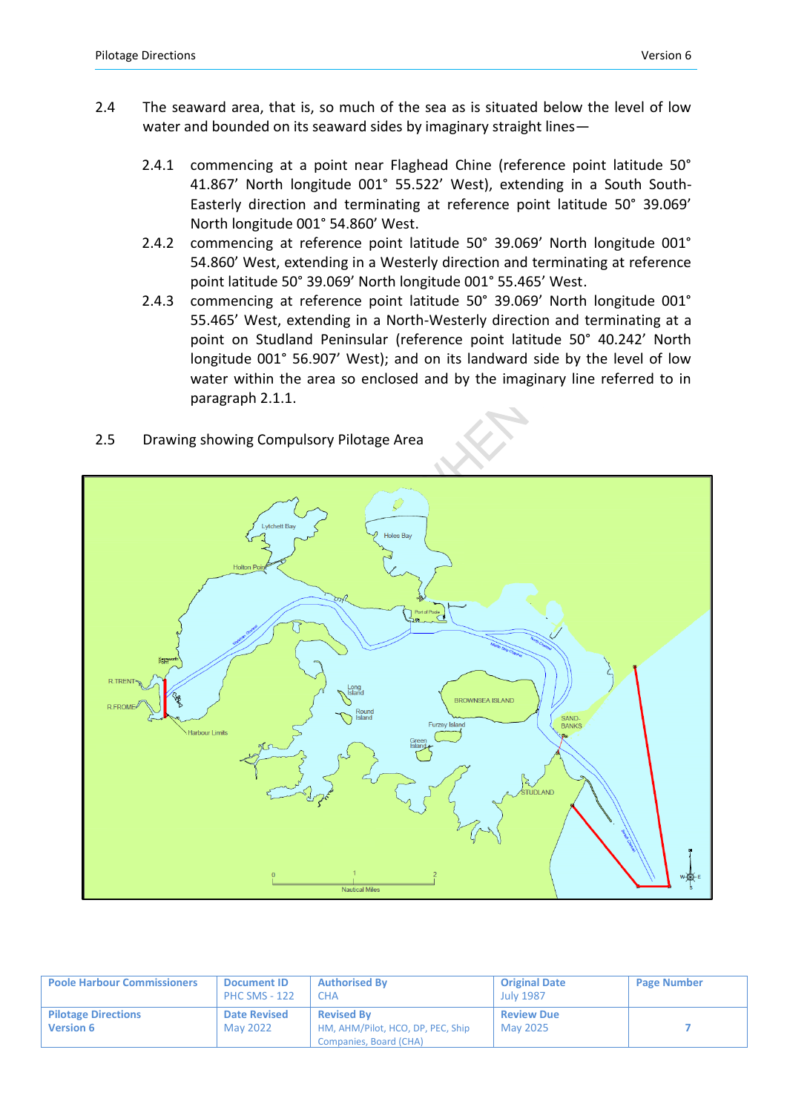- 2.4 The seaward area, that is, so much of the sea as is situated below the level of low water and bounded on its seaward sides by imaginary straight lines—
	- 2.4.1 commencing at a point near Flaghead Chine (reference point latitude 50° 41.867' North longitude 001° 55.522' West), extending in a South South-Easterly direction and terminating at reference point latitude 50° 39.069' North longitude 001° 54.860' West.
	- 2.4.2 commencing at reference point latitude 50° 39.069' North longitude 001° 54.860' West, extending in a Westerly direction and terminating at reference point latitude 50° 39.069' North longitude 001° 55.465' West.
	- 2.4.3 commencing at reference point latitude 50° 39.069' North longitude 001° 55.465' West, extending in a North-Westerly direction and terminating at a point on Studland Peninsular (reference point latitude 50° 40.242' North longitude 001° 56.907' West); and on its landward side by the level of low water within the area so enclosed and by the imaginary line referred to in paragraph 2.1.1.
- 2.5 Drawing showing Compulsory Pilotage Area



| <b>Poole Harbour Commissioners</b>             | <b>Document ID</b><br><b>PHC SMS - 122</b> | <b>Authorised By</b><br>CHA                                                      | <b>Original Date</b><br><b>July 1987</b> | <b>Page Number</b> |
|------------------------------------------------|--------------------------------------------|----------------------------------------------------------------------------------|------------------------------------------|--------------------|
| <b>Pilotage Directions</b><br><b>Version 6</b> | <b>Date Revised</b><br>May 2022            | <b>Revised By</b><br>HM, AHM/Pilot, HCO, DP, PEC, Ship<br>Companies, Board (CHA) | <b>Review Due</b><br>May 2025            |                    |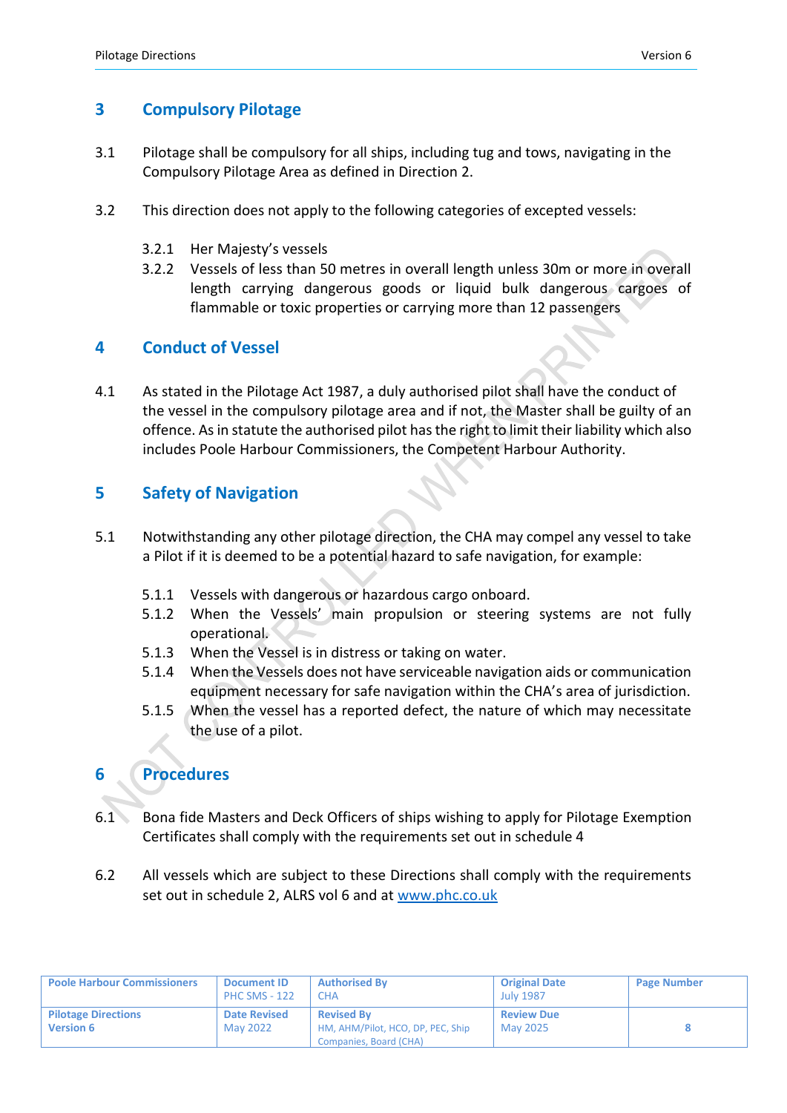## **3 Compulsory Pilotage**

- 3.1 Pilotage shall be compulsory for all ships, including tug and tows, navigating in the Compulsory Pilotage Area as defined in Direction 2.
- 3.2 This direction does not apply to the following categories of excepted vessels:
	- 3.2.1 Her Majesty's vessels
	- 3.2.2 Vessels of less than 50 metres in overall length unless 30m or more in overall length carrying dangerous goods or liquid bulk dangerous cargoes of flammable or toxic properties or carrying more than 12 passengers

## **4 Conduct of Vessel**

4.1 As stated in the Pilotage Act 1987, a duly authorised pilot shall have the conduct of the vessel in the compulsory pilotage area and if not, the Master shall be guilty of an offence. As in statute the authorised pilot has the right to limit their liability which also includes Poole Harbour Commissioners, the Competent Harbour Authority.

## **5 Safety of Navigation**

- 5.1 Notwithstanding any other pilotage direction, the CHA may compel any vessel to take a Pilot if it is deemed to be a potential hazard to safe navigation, for example:
	- 5.1.1 Vessels with dangerous or hazardous cargo onboard.
	- 5.1.2 When the Vessels' main propulsion or steering systems are not fully operational.
	- 5.1.3 When the Vessel is in distress or taking on water.
	- 5.1.4 When the Vessels does not have serviceable navigation aids or communication equipment necessary for safe navigation within the CHA's area of jurisdiction.
	- 5.1.5 When the vessel has a reported defect, the nature of which may necessitate the use of a pilot.

## **6 Procedures**

- 6.1 Bona fide Masters and Deck Officers of ships wishing to apply for Pilotage Exemption Certificates shall comply with the requirements set out in schedule 4
- 6.2 All vessels which are subject to these Directions shall comply with the requirements set out in schedule 2, ALRS vol 6 and at [www.phc.co.uk](http://www.phc.co.uk/)

| <b>Poole Harbour Commissioners</b>             | <b>Document ID</b><br><b>PHC SMS - 122</b> | <b>Authorised By</b><br>СНА                                                      | <b>Original Date</b><br><b>July 1987</b> | <b>Page Number</b> |
|------------------------------------------------|--------------------------------------------|----------------------------------------------------------------------------------|------------------------------------------|--------------------|
| <b>Pilotage Directions</b><br><b>Version 6</b> | <b>Date Revised</b><br>May 2022            | <b>Revised By</b><br>HM, AHM/Pilot, HCO, DP, PEC, Ship<br>Companies, Board (CHA) | <b>Review Due</b><br>May 2025            |                    |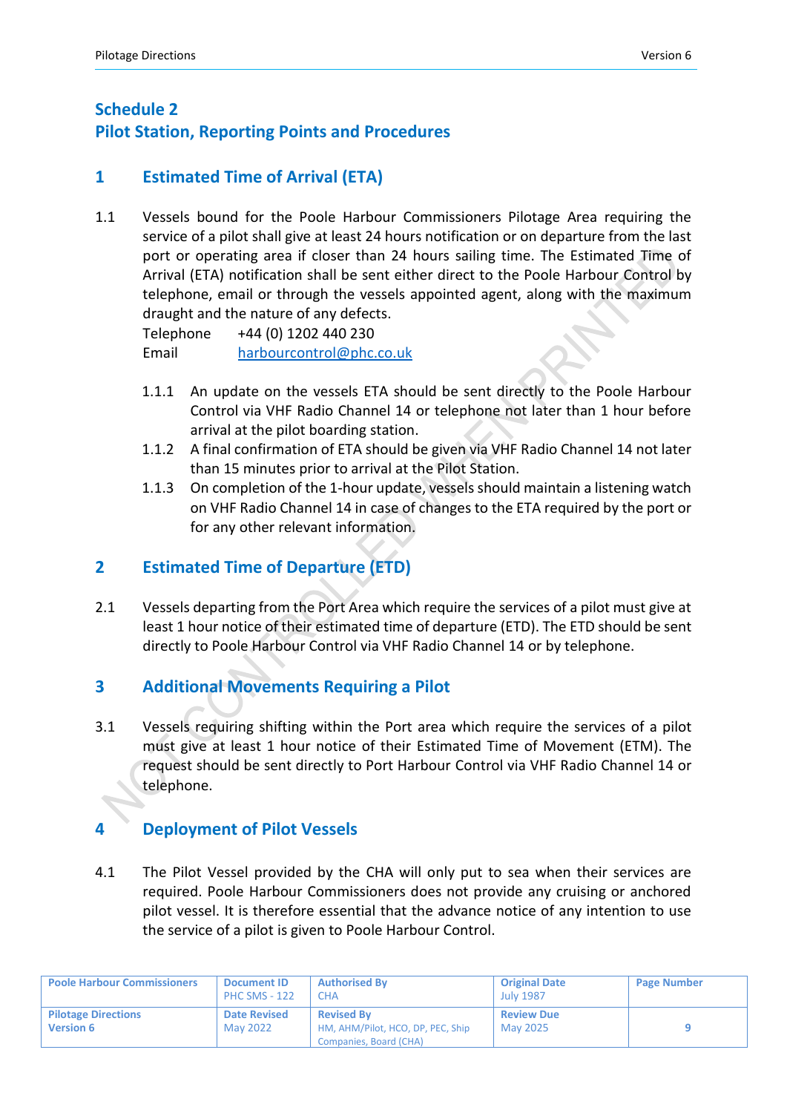## **Schedule 2 Pilot Station, Reporting Points and Procedures**

## **1 Estimated Time of Arrival (ETA)**

1.1 Vessels bound for the Poole Harbour Commissioners Pilotage Area requiring the service of a pilot shall give at least 24 hours notification or on departure from the last port or operating area if closer than 24 hours sailing time. The Estimated Time of Arrival (ETA) notification shall be sent either direct to the Poole Harbour Control by telephone, email or through the vessels appointed agent, along with the maximum draught and the nature of any defects.

Telephone +44 (0) 1202 440 230 Email [harbourcontrol@phc.co.uk](mailto:harbourcontrol@phc.co.uk)

- 1.1.1 An update on the vessels ETA should be sent directly to the Poole Harbour Control via VHF Radio Channel 14 or telephone not later than 1 hour before arrival at the pilot boarding station.
- 1.1.2 A final confirmation of ETA should be given via VHF Radio Channel 14 not later than 15 minutes prior to arrival at the Pilot Station.
- 1.1.3 On completion of the 1-hour update, vessels should maintain a listening watch on VHF Radio Channel 14 in case of changes to the ETA required by the port or for any other relevant information.

## **2 Estimated Time of Departure (ETD)**

2.1 Vessels departing from the Port Area which require the services of a pilot must give at least 1 hour notice of their estimated time of departure (ETD). The ETD should be sent directly to Poole Harbour Control via VHF Radio Channel 14 or by telephone.

## **3 Additional Movements Requiring a Pilot**

3.1 Vessels requiring shifting within the Port area which require the services of a pilot must give at least 1 hour notice of their Estimated Time of Movement (ETM). The request should be sent directly to Port Harbour Control via VHF Radio Channel 14 or telephone.

## **4 Deployment of Pilot Vessels**

4.1 The Pilot Vessel provided by the CHA will only put to sea when their services are required. Poole Harbour Commissioners does not provide any cruising or anchored pilot vessel. It is therefore essential that the advance notice of any intention to use the service of a pilot is given to Poole Harbour Control.

| <b>Poole Harbour Commissioners</b>             | <b>Document ID</b><br><b>PHC SMS - 122</b> | <b>Authorised By</b><br><b>CHA</b>                                               | <b>Original Date</b><br><b>July 1987</b> | <b>Page Number</b> |
|------------------------------------------------|--------------------------------------------|----------------------------------------------------------------------------------|------------------------------------------|--------------------|
| <b>Pilotage Directions</b><br><b>Version 6</b> | <b>Date Revised</b><br>May 2022            | <b>Revised By</b><br>HM, AHM/Pilot, HCO, DP, PEC, Ship<br>Companies, Board (CHA) | <b>Review Due</b><br>May 2025            |                    |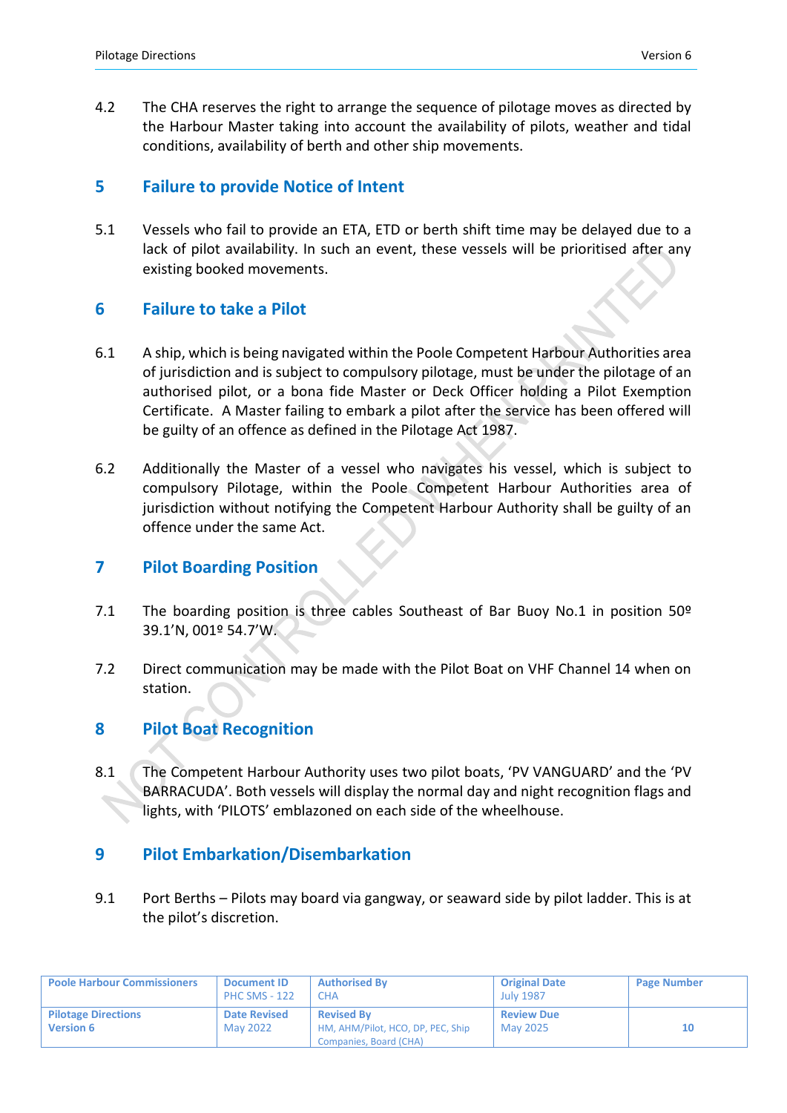4.2 The CHA reserves the right to arrange the sequence of pilotage moves as directed by the Harbour Master taking into account the availability of pilots, weather and tidal conditions, availability of berth and other ship movements.

#### **5 Failure to provide Notice of Intent**

5.1 Vessels who fail to provide an ETA, ETD or berth shift time may be delayed due to a lack of pilot availability. In such an event, these vessels will be prioritised after any existing booked movements.

#### **6 Failure to take a Pilot**

- 6.1 A ship, which is being navigated within the Poole Competent Harbour Authorities area of jurisdiction and is subject to compulsory pilotage, must be under the pilotage of an authorised pilot, or a bona fide Master or Deck Officer holding a Pilot Exemption Certificate. A Master failing to embark a pilot after the service has been offered will be guilty of an offence as defined in the Pilotage Act 1987.
- 6.2 Additionally the Master of a vessel who navigates his vessel, which is subject to compulsory Pilotage, within the Poole Competent Harbour Authorities area of jurisdiction without notifying the Competent Harbour Authority shall be guilty of an offence under the same Act.

#### **7 Pilot Boarding Position**

- 7.1 The boarding position is three cables Southeast of Bar Buoy No.1 in position 50º 39.1'N, 001º 54.7'W.
- 7.2 Direct communication may be made with the Pilot Boat on VHF Channel 14 when on station.

## **8 Pilot Boat Recognition**

8.1 The Competent Harbour Authority uses two pilot boats, 'PV VANGUARD' and the 'PV BARRACUDA'. Both vessels will display the normal day and night recognition flags and lights, with 'PILOTS' emblazoned on each side of the wheelhouse.

## **9 Pilot Embarkation/Disembarkation**

9.1 Port Berths – Pilots may board via gangway, or seaward side by pilot ladder. This is at the pilot's discretion.

| <b>Poole Harbour Commissioners</b>             | <b>Document ID</b><br><b>PHC SMS - 122</b> | <b>Authorised By</b><br>CHA                                                      | <b>Original Date</b><br><b>July 1987</b> | <b>Page Number</b> |
|------------------------------------------------|--------------------------------------------|----------------------------------------------------------------------------------|------------------------------------------|--------------------|
| <b>Pilotage Directions</b><br><b>Version 6</b> | <b>Date Revised</b><br>May 2022            | <b>Revised By</b><br>HM, AHM/Pilot, HCO, DP, PEC, Ship<br>Companies, Board (CHA) | <b>Review Due</b><br>May 2025            | 10                 |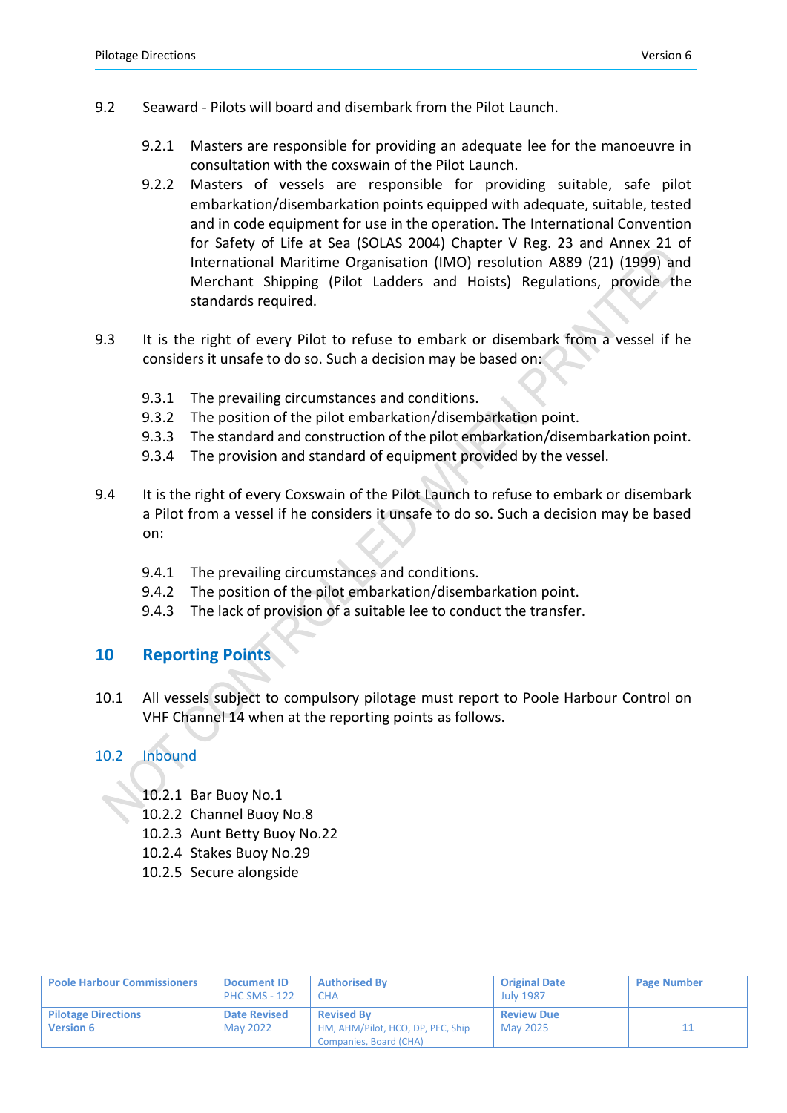- 9.2 Seaward Pilots will board and disembark from the Pilot Launch.
	- 9.2.1 Masters are responsible for providing an adequate lee for the manoeuvre in consultation with the coxswain of the Pilot Launch.
	- 9.2.2 Masters of vessels are responsible for providing suitable, safe pilot embarkation/disembarkation points equipped with adequate, suitable, tested and in code equipment for use in the operation. The International Convention for Safety of Life at Sea (SOLAS 2004) Chapter V Reg. 23 and Annex 21 of International Maritime Organisation (IMO) resolution A889 (21) (1999) and Merchant Shipping (Pilot Ladders and Hoists) Regulations, provide the standards required.
- 9.3 It is the right of every Pilot to refuse to embark or disembark from a vessel if he considers it unsafe to do so. Such a decision may be based on:
	- 9.3.1 The prevailing circumstances and conditions.
	- 9.3.2 The position of the pilot embarkation/disembarkation point.
	- 9.3.3 The standard and construction of the pilot embarkation/disembarkation point.
	- 9.3.4 The provision and standard of equipment provided by the vessel.
- 9.4 It is the right of every Coxswain of the Pilot Launch to refuse to embark or disembark a Pilot from a vessel if he considers it unsafe to do so. Such a decision may be based on:
	- 9.4.1 The prevailing circumstances and conditions.
	- 9.4.2 The position of the pilot embarkation/disembarkation point.
	- 9.4.3 The lack of provision of a suitable lee to conduct the transfer.

#### **10 Reporting Points**

10.1 All vessels subject to compulsory pilotage must report to Poole Harbour Control on VHF Channel 14 when at the reporting points as follows.

#### 10.2 Inbound

- 10.2.1 Bar Buoy No.1
- 10.2.2 Channel Buoy No.8
- 10.2.3 Aunt Betty Buoy No.22
- 10.2.4 Stakes Buoy No.29
- 10.2.5 Secure alongside

| <b>Poole Harbour Commissioners</b>             | <b>Document ID</b><br><b>PHC SMS - 122</b> | <b>Authorised By</b><br>ΩHΑ.                                                     | <b>Original Date</b><br><b>July 1987</b> | <b>Page Number</b> |
|------------------------------------------------|--------------------------------------------|----------------------------------------------------------------------------------|------------------------------------------|--------------------|
| <b>Pilotage Directions</b><br><b>Version 6</b> | <b>Date Revised</b><br>May 2022            | <b>Revised By</b><br>HM, AHM/Pilot, HCO, DP, PEC, Ship<br>Companies, Board (CHA) | <b>Review Due</b><br>May 2025            |                    |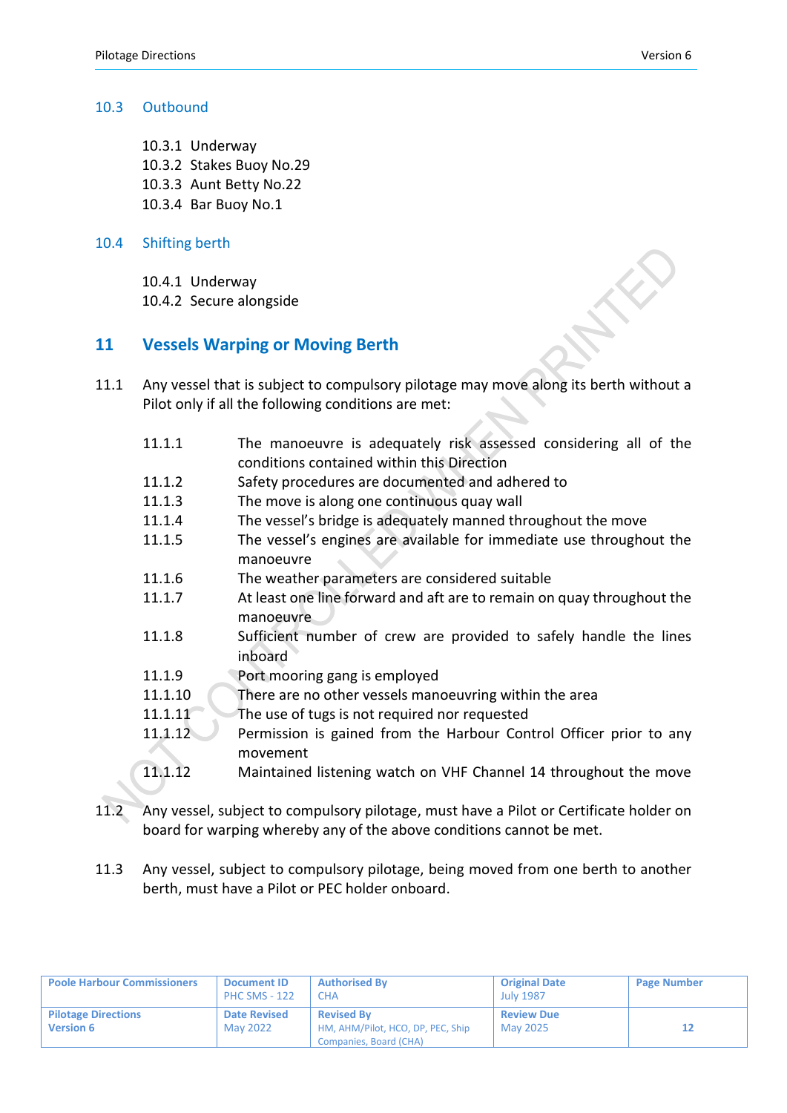#### 10.3 Outbound

- 10.3.1 Underway 10.3.2 Stakes Buoy No.29
- 10.3.3 Aunt Betty No.22
- 10.3.4 Bar Buoy No.1

#### 10.4 Shifting berth

10.4.1 Underway

10.4.2 Secure alongside

### **11 Vessels Warping or Moving Berth**

- 11.1 Any vessel that is subject to compulsory pilotage may move along its berth without a Pilot only if all the following conditions are met:
	- 11.1.1 The manoeuvre is adequately risk assessed considering all of the conditions contained within this Direction 11.1.2 Safety procedures are documented and adhered to 11.1.3 The move is along one continuous quay wall 11.1.4 The vessel's bridge is adequately manned throughout the move
	- 11.1.5 The vessel's engines are available for immediate use throughout the manoeuvre
	- 11.1.6 The weather parameters are considered suitable
	- 11.1.7 At least one line forward and aft are to remain on quay throughout the manoeuvre
	- 11.1.8 Sufficient number of crew are provided to safely handle the lines inboard
	- 11.1.9 Port mooring gang is employed
	- 11.1.10 There are no other vessels manoeuvring within the area
	- 11.1.11 The use of tugs is not required nor requested
	- 11.1.12 Permission is gained from the Harbour Control Officer prior to any movement
	- 11.1.12 Maintained listening watch on VHF Channel 14 throughout the move
- 11.2 Any vessel, subject to compulsory pilotage, must have a Pilot or Certificate holder on board for warping whereby any of the above conditions cannot be met.
- 11.3 Any vessel, subject to compulsory pilotage, being moved from one berth to another berth, must have a Pilot or PEC holder onboard.

| <b>Poole Harbour Commissioners</b>             | <b>Document ID</b><br><b>PHC SMS - 122</b> | <b>Authorised By</b><br><b>CHA</b>                                               | <b>Original Date</b><br><b>July 1987</b> | <b>Page Number</b> |
|------------------------------------------------|--------------------------------------------|----------------------------------------------------------------------------------|------------------------------------------|--------------------|
| <b>Pilotage Directions</b><br><b>Version 6</b> | <b>Date Revised</b><br>May 2022            | <b>Revised By</b><br>HM, AHM/Pilot, HCO, DP, PEC, Ship<br>Companies, Board (CHA) | <b>Review Due</b><br>May 2025            |                    |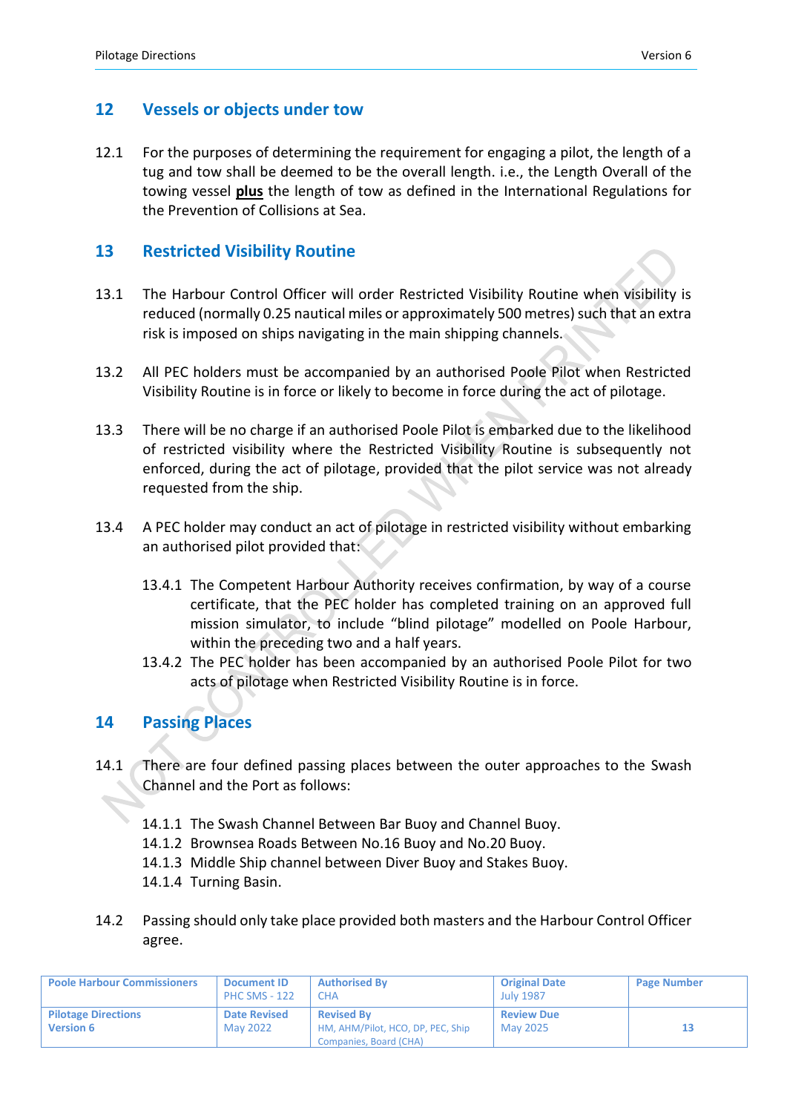#### **12 Vessels or objects under tow**

12.1 For the purposes of determining the requirement for engaging a pilot, the length of a tug and tow shall be deemed to be the overall length. i.e., the Length Overall of the towing vessel **plus** the length of tow as defined in the International Regulations for the Prevention of Collisions at Sea.

#### **13 Restricted Visibility Routine**

- 13.1 The Harbour Control Officer will order Restricted Visibility Routine when visibility is reduced (normally 0.25 nautical miles or approximately 500 metres) such that an extra risk is imposed on ships navigating in the main shipping channels.
- 13.2 All PEC holders must be accompanied by an authorised Poole Pilot when Restricted Visibility Routine is in force or likely to become in force during the act of pilotage.
- 13.3 There will be no charge if an authorised Poole Pilot is embarked due to the likelihood of restricted visibility where the Restricted Visibility Routine is subsequently not enforced, during the act of pilotage, provided that the pilot service was not already requested from the ship.
- 13.4 A PEC holder may conduct an act of pilotage in restricted visibility without embarking an authorised pilot provided that:
	- 13.4.1 The Competent Harbour Authority receives confirmation, by way of a course certificate, that the PEC holder has completed training on an approved full mission simulator, to include "blind pilotage" modelled on Poole Harbour, within the preceding two and a half years.
	- 13.4.2 The PEC holder has been accompanied by an authorised Poole Pilot for two acts of pilotage when Restricted Visibility Routine is in force.

## **14 Passing Places**

- 14.1 There are four defined passing places between the outer approaches to the Swash Channel and the Port as follows:
	- 14.1.1 The Swash Channel Between Bar Buoy and Channel Buoy.
	- 14.1.2 Brownsea Roads Between No.16 Buoy and No.20 Buoy.
	- 14.1.3 Middle Ship channel between Diver Buoy and Stakes Buoy.
	- 14.1.4 Turning Basin.
- 14.2 Passing should only take place provided both masters and the Harbour Control Officer agree.

| <b>Poole Harbour Commissioners</b>             | <b>Document ID</b><br><b>PHC SMS - 122</b> | <b>Authorised By</b><br>СНА                                                      | <b>Original Date</b><br><b>July 1987</b> | <b>Page Number</b> |
|------------------------------------------------|--------------------------------------------|----------------------------------------------------------------------------------|------------------------------------------|--------------------|
| <b>Pilotage Directions</b><br><b>Version 6</b> | <b>Date Revised</b><br>May 2022            | <b>Revised By</b><br>HM, AHM/Pilot, HCO, DP, PEC, Ship<br>Companies, Board (CHA) | <b>Review Due</b><br>May 2025            |                    |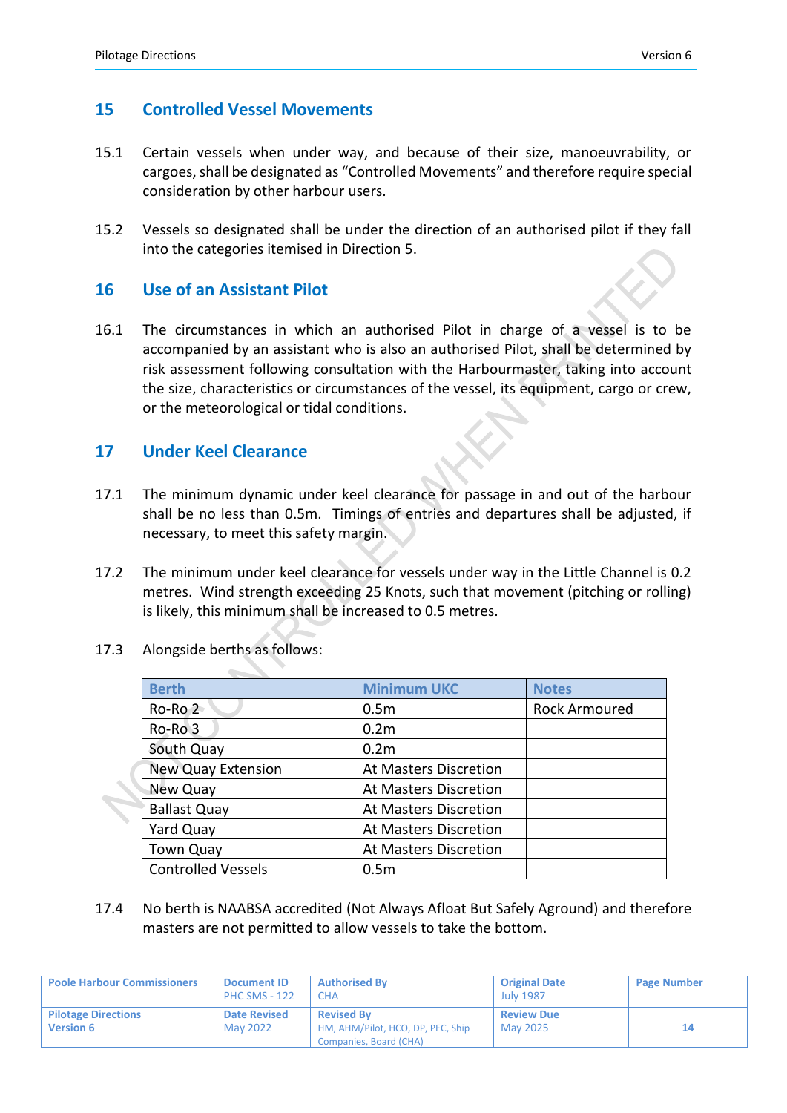#### **15 Controlled Vessel Movements**

- 15.1 Certain vessels when under way, and because of their size, manoeuvrability, or cargoes, shall be designated as "Controlled Movements" and therefore require special consideration by other harbour users.
- 15.2 Vessels so designated shall be under the direction of an authorised pilot if they fall into the categories itemised in Direction 5.

### **16 Use of an Assistant Pilot**

16.1 The circumstances in which an authorised Pilot in charge of a vessel is to be accompanied by an assistant who is also an authorised Pilot, shall be determined by risk assessment following consultation with the Harbourmaster, taking into account the size, characteristics or circumstances of the vessel, its equipment, cargo or crew, or the meteorological or tidal conditions.

### **17 Under Keel Clearance**

- 17.1 The minimum dynamic under keel clearance for passage in and out of the harbour shall be no less than 0.5m. Timings of entries and departures shall be adjusted, if necessary, to meet this safety margin.
- 17.2 The minimum under keel clearance for vessels under way in the Little Channel is 0.2 metres. Wind strength exceeding 25 Knots, such that movement (pitching or rolling) is likely, this minimum shall be increased to 0.5 metres.

| <b>Berth</b>              | <b>Minimum UKC</b>           | <b>Notes</b>  |
|---------------------------|------------------------------|---------------|
| $Ro$ -Ro $2$              | 0.5 <sub>m</sub>             | Rock Armoured |
| Ro-Ro 3                   | 0.2 <sub>m</sub>             |               |
| South Quay                | 0.2 <sub>m</sub>             |               |
| <b>New Quay Extension</b> | <b>At Masters Discretion</b> |               |
| New Quay                  | At Masters Discretion        |               |
| <b>Ballast Quay</b>       | <b>At Masters Discretion</b> |               |
| Yard Quay                 | At Masters Discretion        |               |
| <b>Town Quay</b>          | <b>At Masters Discretion</b> |               |
| <b>Controlled Vessels</b> | 0.5 <sub>m</sub>             |               |

17.3 Alongside berths as follows:

17.4 No berth is NAABSA accredited (Not Always Afloat But Safely Aground) and therefore masters are not permitted to allow vessels to take the bottom.

| <b>Poole Harbour Commissioners</b>             | <b>Document ID</b><br><b>PHC SMS - 122</b> | <b>Authorised By</b><br><b>CHA</b>                                               | <b>Original Date</b><br><b>July 1987</b> | <b>Page Number</b> |
|------------------------------------------------|--------------------------------------------|----------------------------------------------------------------------------------|------------------------------------------|--------------------|
| <b>Pilotage Directions</b><br><b>Version 6</b> | <b>Date Revised</b><br>May 2022            | <b>Revised By</b><br>HM, AHM/Pilot, HCO, DP, PEC, Ship<br>Companies, Board (CHA) | <b>Review Due</b><br>May 2025            | 14                 |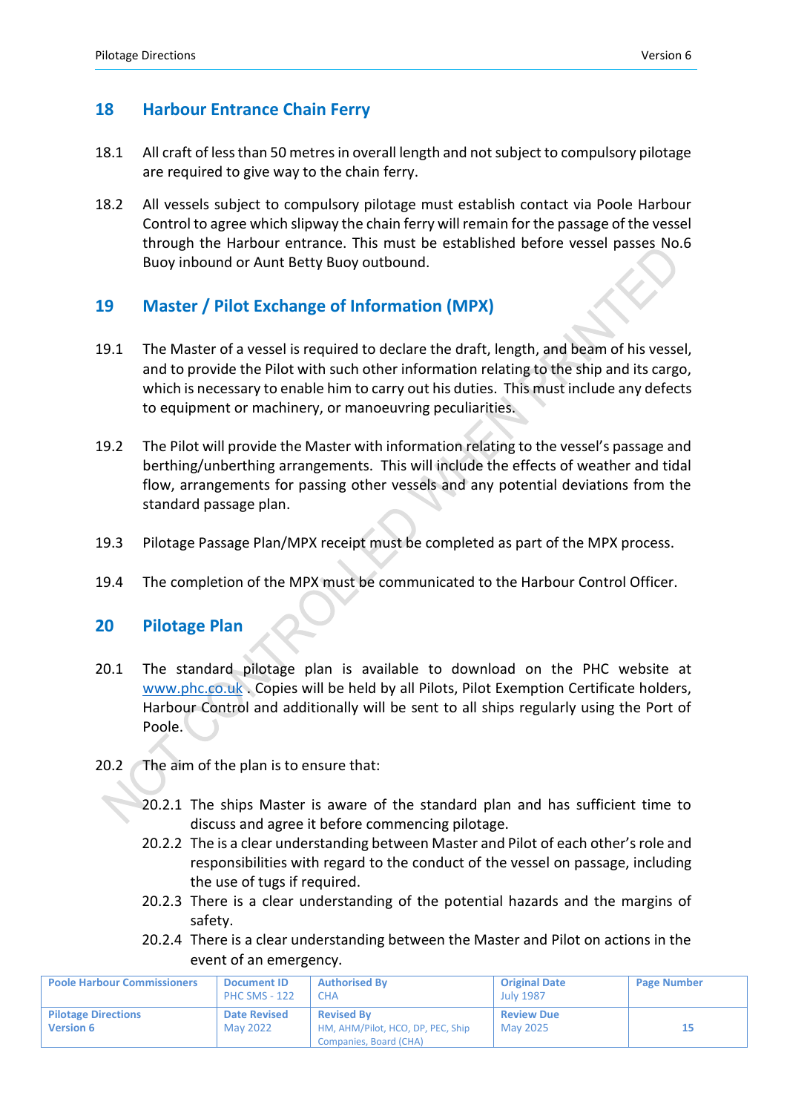## **18 Harbour Entrance Chain Ferry**

- 18.1 All craft of less than 50 metres in overall length and not subject to compulsory pilotage are required to give way to the chain ferry.
- 18.2 All vessels subject to compulsory pilotage must establish contact via Poole Harbour Control to agree which slipway the chain ferry will remain for the passage of the vessel through the Harbour entrance. This must be established before vessel passes No.6 Buoy inbound or Aunt Betty Buoy outbound.

## **19 Master / Pilot Exchange of Information (MPX)**

- 19.1 The Master of a vessel is required to declare the draft, length, and beam of his vessel, and to provide the Pilot with such other information relating to the ship and its cargo, which is necessary to enable him to carry out his duties. This must include any defects to equipment or machinery, or manoeuvring peculiarities.
- 19.2 The Pilot will provide the Master with information relating to the vessel's passage and berthing/unberthing arrangements. This will include the effects of weather and tidal flow, arrangements for passing other vessels and any potential deviations from the standard passage plan.
- 19.3 Pilotage Passage Plan/MPX receipt must be completed as part of the MPX process.
- 19.4 The completion of the MPX must be communicated to the Harbour Control Officer.

#### **20 Pilotage Plan**

- 20.1 The standard pilotage plan is available to download on the PHC website at [www.phc.co.uk](http://www.phc.co.uk/) . Copies will be held by all Pilots, Pilot Exemption Certificate holders, Harbour Control and additionally will be sent to all ships regularly using the Port of Poole.
- 20.2 The aim of the plan is to ensure that:
	- 20.2.1 The ships Master is aware of the standard plan and has sufficient time to discuss and agree it before commencing pilotage.
	- 20.2.2 The is a clear understanding between Master and Pilot of each other's role and responsibilities with regard to the conduct of the vessel on passage, including the use of tugs if required.
	- 20.2.3 There is a clear understanding of the potential hazards and the margins of safety.
	- 20.2.4 There is a clear understanding between the Master and Pilot on actions in the event of an emergency.

| <b>Poole Harbour Commissioners</b>             | <b>Document ID</b><br><b>PHC SMS - 122</b> | <b>Authorised By</b><br>CHA                                                      | <b>Original Date</b><br><b>July 1987</b> | <b>Page Number</b> |
|------------------------------------------------|--------------------------------------------|----------------------------------------------------------------------------------|------------------------------------------|--------------------|
| <b>Pilotage Directions</b><br><b>Version 6</b> | <b>Date Revised</b><br><b>May 2022</b>     | <b>Revised By</b><br>HM, AHM/Pilot, HCO, DP, PEC, Ship<br>Companies, Board (CHA) | <b>Review Due</b><br>May 2025            |                    |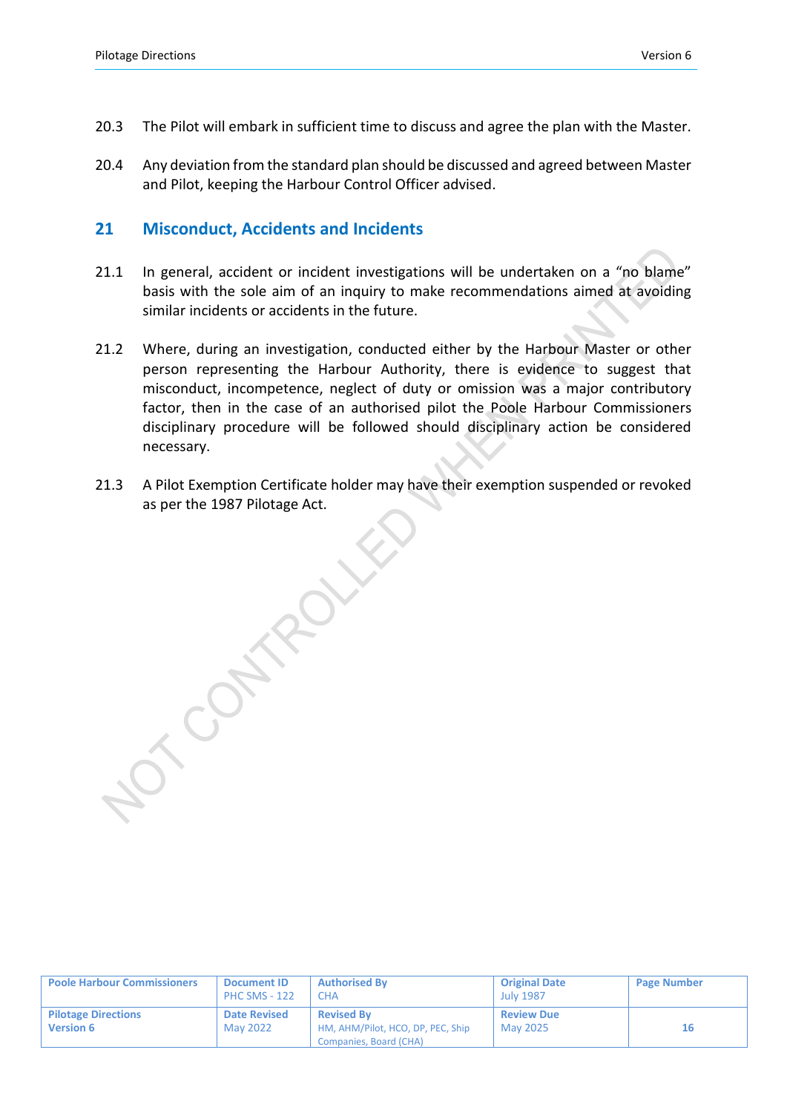- 20.3 The Pilot will embark in sufficient time to discuss and agree the plan with the Master.
- 20.4 Any deviation from the standard plan should be discussed and agreed between Master and Pilot, keeping the Harbour Control Officer advised.

#### **21 Misconduct, Accidents and Incidents**

OTOMANY

- 21.1 In general, accident or incident investigations will be undertaken on a "no blame" basis with the sole aim of an inquiry to make recommendations aimed at avoiding similar incidents or accidents in the future.
- 21.2 Where, during an investigation, conducted either by the Harbour Master or other person representing the Harbour Authority, there is evidence to suggest that misconduct, incompetence, neglect of duty or omission was a major contributory factor, then in the case of an authorised pilot the Poole Harbour Commissioners disciplinary procedure will be followed should disciplinary action be considered necessary.
- 21.3 A Pilot Exemption Certificate holder may have their exemption suspended or revoked as per the 1987 Pilotage Act.

| <b>Poole Harbour Commissioners</b>             | <b>Document ID</b><br><b>PHC SMS - 122</b> | <b>Authorised By</b><br>CHA.                                                     | <b>Original Date</b><br><b>July 1987</b> | <b>Page Number</b> |
|------------------------------------------------|--------------------------------------------|----------------------------------------------------------------------------------|------------------------------------------|--------------------|
| <b>Pilotage Directions</b><br><b>Version 6</b> | <b>Date Revised</b><br>May 2022            | <b>Revised By</b><br>HM, AHM/Pilot, HCO, DP, PEC, Ship<br>Companies, Board (CHA) | <b>Review Due</b><br>May 2025            | 16                 |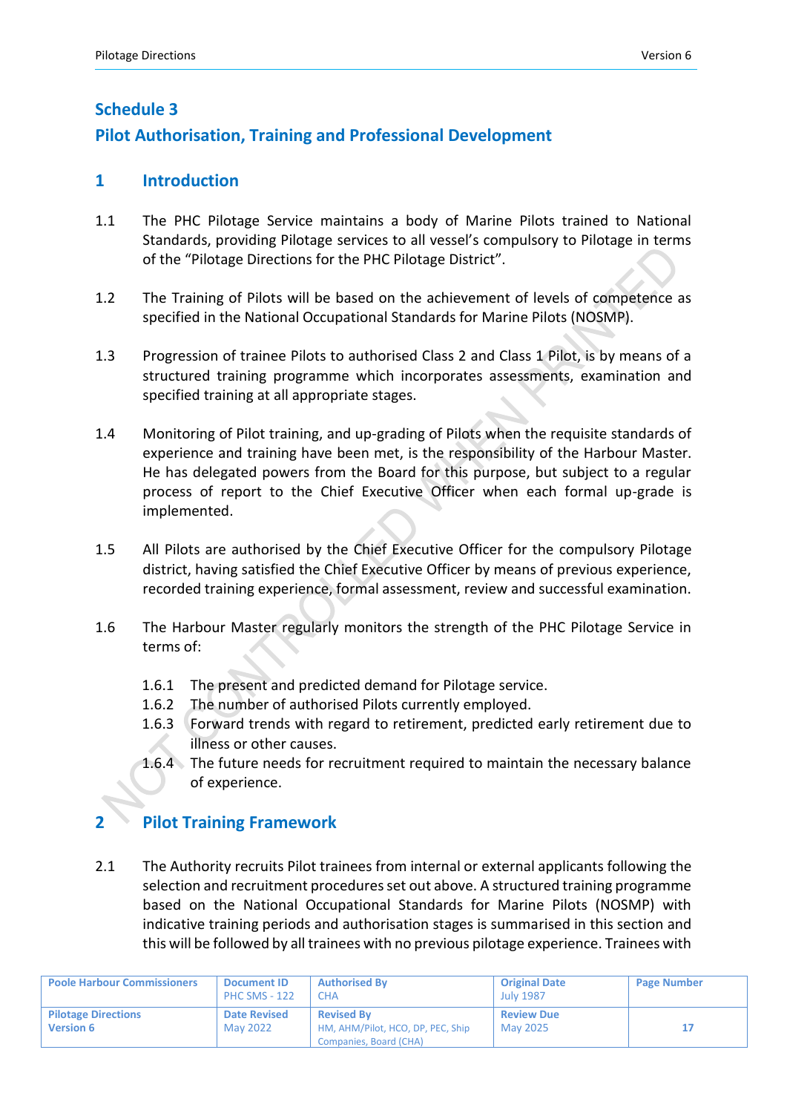## **Schedule 3 Pilot Authorisation, Training and Professional Development**

## **1 Introduction**

- 1.1 The PHC Pilotage Service maintains a body of Marine Pilots trained to National Standards, providing Pilotage services to all vessel's compulsory to Pilotage in terms of the "Pilotage Directions for the PHC Pilotage District".
- 1.2 The Training of Pilots will be based on the achievement of levels of competence as specified in the National Occupational Standards for Marine Pilots (NOSMP).
- 1.3 Progression of trainee Pilots to authorised Class 2 and Class 1 Pilot, is by means of a structured training programme which incorporates assessments, examination and specified training at all appropriate stages.
- 1.4 Monitoring of Pilot training, and up-grading of Pilots when the requisite standards of experience and training have been met, is the responsibility of the Harbour Master. He has delegated powers from the Board for this purpose, but subject to a regular process of report to the Chief Executive Officer when each formal up-grade is implemented.
- 1.5 All Pilots are authorised by the Chief Executive Officer for the compulsory Pilotage district, having satisfied the Chief Executive Officer by means of previous experience, recorded training experience, formal assessment, review and successful examination.
- 1.6 The Harbour Master regularly monitors the strength of the PHC Pilotage Service in terms of:
	- 1.6.1 The present and predicted demand for Pilotage service.
	- 1.6.2 The number of authorised Pilots currently employed.
	- 1.6.3 Forward trends with regard to retirement, predicted early retirement due to illness or other causes.
	- 1.6.4 The future needs for recruitment required to maintain the necessary balance of experience.

## **2 Pilot Training Framework**

2.1 The Authority recruits Pilot trainees from internal or external applicants following the selection and recruitment procedures set out above. A structured training programme based on the National Occupational Standards for Marine Pilots (NOSMP) with indicative training periods and authorisation stages is summarised in this section and this will be followed by all trainees with no previous pilotage experience. Trainees with

| <b>Poole Harbour Commissioners</b>             | <b>Document ID</b><br><b>PHC SMS - 122</b> | <b>Authorised By</b><br><b>CHA</b>                                               | <b>Original Date</b><br><b>July 1987</b> | <b>Page Number</b> |
|------------------------------------------------|--------------------------------------------|----------------------------------------------------------------------------------|------------------------------------------|--------------------|
| <b>Pilotage Directions</b><br><b>Version 6</b> | <b>Date Revised</b><br>May 2022            | <b>Revised By</b><br>HM, AHM/Pilot, HCO, DP, PEC, Ship<br>Companies, Board (CHA) | <b>Review Due</b><br>May 2025            |                    |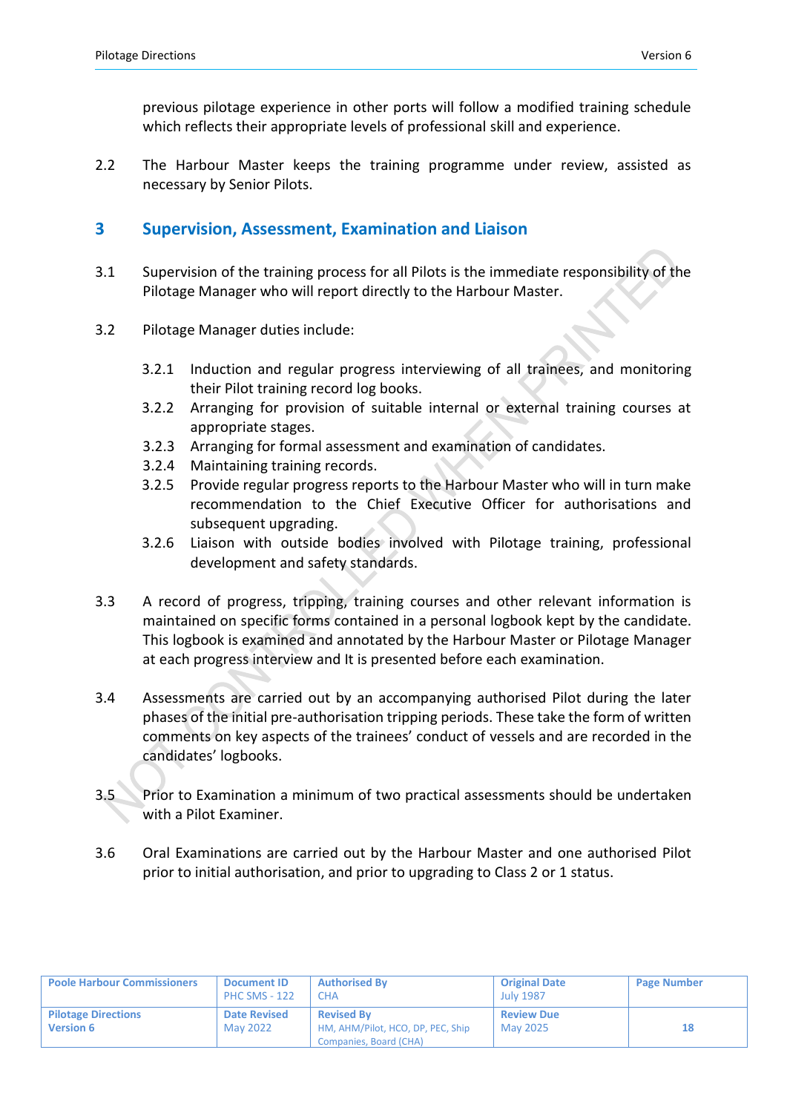previous pilotage experience in other ports will follow a modified training schedule which reflects their appropriate levels of professional skill and experience.

2.2 The Harbour Master keeps the training programme under review, assisted as necessary by Senior Pilots.

#### **3 Supervision, Assessment, Examination and Liaison**

- 3.1 Supervision of the training process for all Pilots is the immediate responsibility of the Pilotage Manager who will report directly to the Harbour Master.
- 3.2 Pilotage Manager duties include:
	- 3.2.1 Induction and regular progress interviewing of all trainees, and monitoring their Pilot training record log books.
	- 3.2.2 Arranging for provision of suitable internal or external training courses at appropriate stages.
	- 3.2.3 Arranging for formal assessment and examination of candidates.
	- 3.2.4 Maintaining training records.
	- 3.2.5 Provide regular progress reports to the Harbour Master who will in turn make recommendation to the Chief Executive Officer for authorisations and subsequent upgrading.
	- 3.2.6 Liaison with outside bodies involved with Pilotage training, professional development and safety standards.
- 3.3 A record of progress, tripping, training courses and other relevant information is maintained on specific forms contained in a personal logbook kept by the candidate. This logbook is examined and annotated by the Harbour Master or Pilotage Manager at each progress interview and It is presented before each examination.
- 3.4 Assessments are carried out by an accompanying authorised Pilot during the later phases of the initial pre-authorisation tripping periods. These take the form of written comments on key aspects of the trainees' conduct of vessels and are recorded in the candidates' logbooks.
- 3.5 Prior to Examination a minimum of two practical assessments should be undertaken with a Pilot Examiner.
- 3.6 Oral Examinations are carried out by the Harbour Master and one authorised Pilot prior to initial authorisation, and prior to upgrading to Class 2 or 1 status.

| <b>Poole Harbour Commissioners</b>             | <b>Document ID</b><br><b>PHC SMS - 122</b> | <b>Authorised By</b><br><b>CHA</b>                                               | <b>Original Date</b><br><b>July 1987</b> | <b>Page Number</b> |
|------------------------------------------------|--------------------------------------------|----------------------------------------------------------------------------------|------------------------------------------|--------------------|
| <b>Pilotage Directions</b><br><b>Version 6</b> | <b>Date Revised</b><br>May 2022            | <b>Revised By</b><br>HM, AHM/Pilot, HCO, DP, PEC, Ship<br>Companies, Board (CHA) | <b>Review Due</b><br>May 2025            |                    |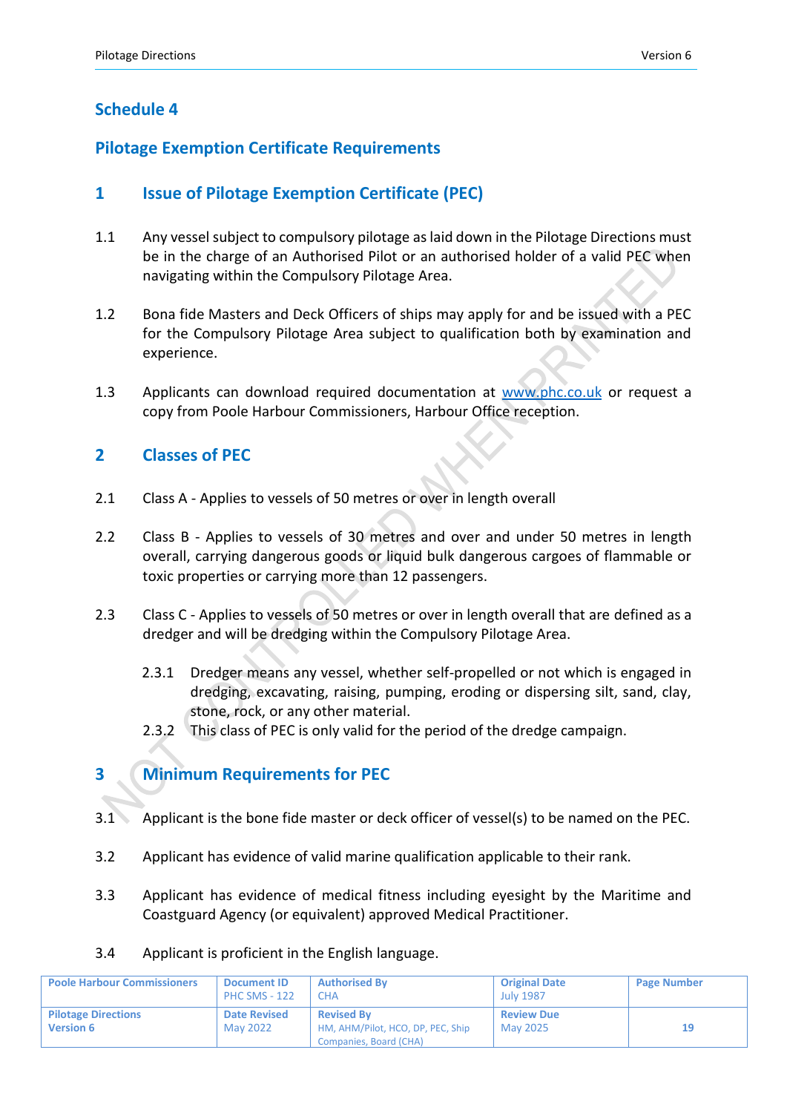## **Schedule 4**

## **Pilotage Exemption Certificate Requirements**

## **1 Issue of Pilotage Exemption Certificate (PEC)**

- 1.1 Any vessel subject to compulsory pilotage as laid down in the Pilotage Directions must be in the charge of an Authorised Pilot or an authorised holder of a valid PEC when navigating within the Compulsory Pilotage Area.
- 1.2 Bona fide Masters and Deck Officers of ships may apply for and be issued with a PEC for the Compulsory Pilotage Area subject to qualification both by examination and experience.
- 1.3 Applicants can download required documentation at [www.phc.co.uk](http://www.phc.co.uk/) or request a copy from Poole Harbour Commissioners, Harbour Office reception.

## **2 Classes of PEC**

- 2.1 Class A Applies to vessels of 50 metres or over in length overall
- 2.2 Class B Applies to vessels of 30 metres and over and under 50 metres in length overall, carrying dangerous goods or liquid bulk dangerous cargoes of flammable or toxic properties or carrying more than 12 passengers.
- 2.3 Class C Applies to vessels of 50 metres or over in length overall that are defined as a dredger and will be dredging within the Compulsory Pilotage Area.
	- 2.3.1 Dredger means any vessel, whether self-propelled or not which is engaged in dredging, excavating, raising, pumping, eroding or dispersing silt, sand, clay, stone, rock, or any other material.
	- 2.3.2 This class of PEC is only valid for the period of the dredge campaign.

## **3 Minimum Requirements for PEC**

- 3.1 Applicant is the bone fide master or deck officer of vessel(s) to be named on the PEC.
- 3.2 Applicant has evidence of valid marine qualification applicable to their rank.
- 3.3 Applicant has evidence of medical fitness including eyesight by the Maritime and Coastguard Agency (or equivalent) approved Medical Practitioner.
- 3.4 Applicant is proficient in the English language.

| <b>Poole Harbour Commissioners</b>             | <b>Document ID</b><br><b>PHC SMS - 122</b> | <b>Authorised By</b><br>СНА                            | <b>Original Date</b><br><b>July 1987</b> | <b>Page Number</b> |
|------------------------------------------------|--------------------------------------------|--------------------------------------------------------|------------------------------------------|--------------------|
| <b>Pilotage Directions</b><br><b>Version 6</b> | <b>Date Revised</b><br>May 2022            | <b>Revised By</b><br>HM, AHM/Pilot, HCO, DP, PEC, Ship | <b>Review Due</b><br>May 2025            |                    |
|                                                |                                            | Companies, Board (CHA)                                 |                                          |                    |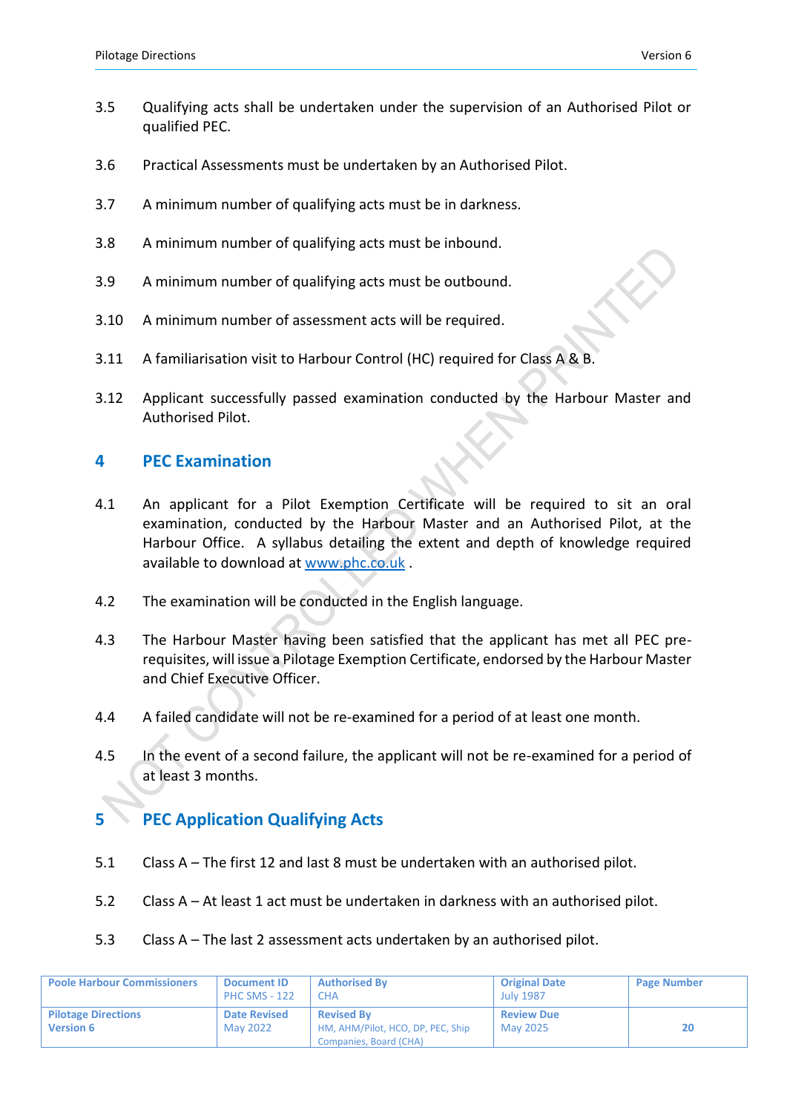- 3.5 Qualifying acts shall be undertaken under the supervision of an Authorised Pilot or qualified PEC.
- 3.6 Practical Assessments must be undertaken by an Authorised Pilot.
- 3.7 A minimum number of qualifying acts must be in darkness.
- 3.8 A minimum number of qualifying acts must be inbound.
- 3.9 A minimum number of qualifying acts must be outbound.
- 3.10 A minimum number of assessment acts will be required.
- 3.11 A familiarisation visit to Harbour Control (HC) required for Class A & B.
- 3.12 Applicant successfully passed examination conducted by the Harbour Master and Authorised Pilot.

#### **4 PEC Examination**

- 4.1 An applicant for a Pilot Exemption Certificate will be required to sit an oral examination, conducted by the Harbour Master and an Authorised Pilot, at the Harbour Office. A syllabus detailing the extent and depth of knowledge required available to download at [www.phc.co.uk](http://www.phc.co.uk/) .
- 4.2 The examination will be conducted in the English language.
- 4.3 The Harbour Master having been satisfied that the applicant has met all PEC prerequisites, will issue a Pilotage Exemption Certificate, endorsed by the Harbour Master and Chief Executive Officer.
- 4.4 A failed candidate will not be re-examined for a period of at least one month.
- 4.5 In the event of a second failure, the applicant will not be re-examined for a period of at least 3 months.

#### **5 PEC Application Qualifying Acts**

- 5.1 Class A The first 12 and last 8 must be undertaken with an authorised pilot.
- 5.2 Class A At least 1 act must be undertaken in darkness with an authorised pilot.
- 5.3 Class A The last 2 assessment acts undertaken by an authorised pilot.

| <b>Poole Harbour Commissioners</b>             | <b>Document ID</b><br><b>PHC SMS - 122</b> | <b>Authorised By</b><br><b>CHA</b>                                               | <b>Original Date</b><br><b>July 1987</b> | <b>Page Number</b> |
|------------------------------------------------|--------------------------------------------|----------------------------------------------------------------------------------|------------------------------------------|--------------------|
| <b>Pilotage Directions</b><br><b>Version 6</b> | <b>Date Revised</b><br>May 2022            | <b>Revised By</b><br>HM, AHM/Pilot, HCO, DP, PEC, Ship<br>Companies, Board (CHA) | <b>Review Due</b><br>May 2025            | 20                 |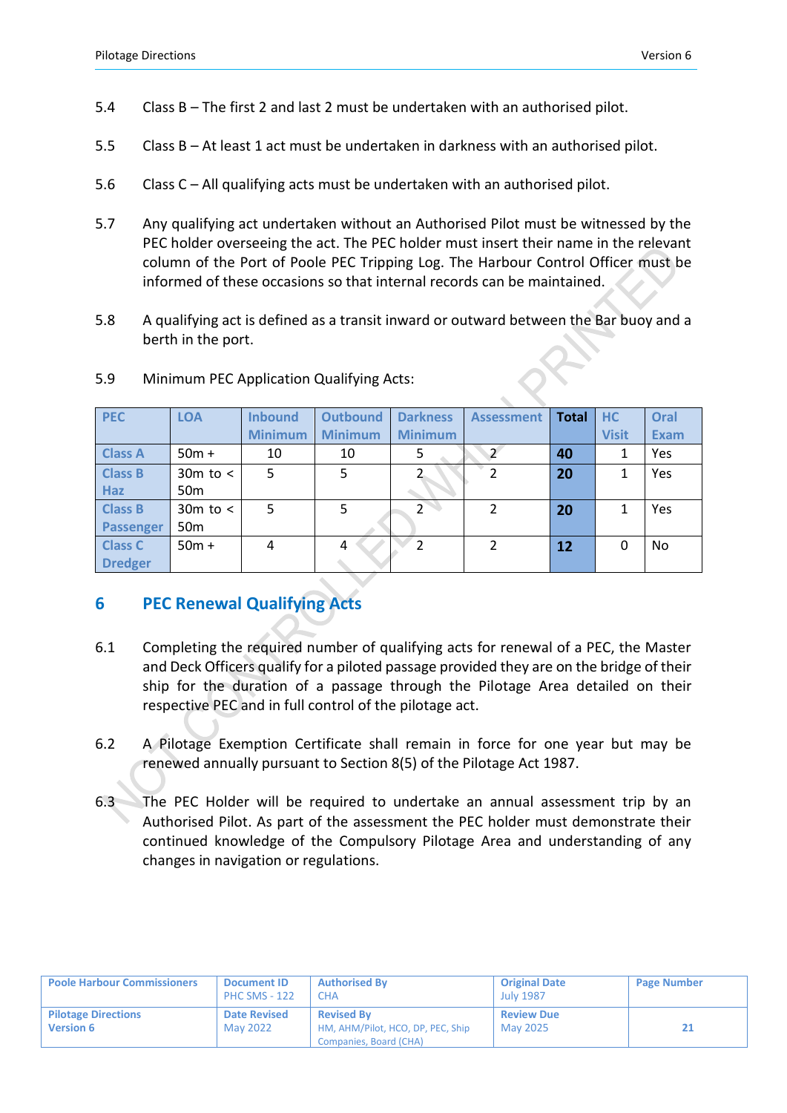- 5.4 Class B The first 2 and last 2 must be undertaken with an authorised pilot.
- 5.5 Class B At least 1 act must be undertaken in darkness with an authorised pilot.
- 5.6 Class C All qualifying acts must be undertaken with an authorised pilot.
- 5.7 Any qualifying act undertaken without an Authorised Pilot must be witnessed by the PEC holder overseeing the act. The PEC holder must insert their name in the relevant column of the Port of Poole PEC Tripping Log. The Harbour Control Officer must be informed of these occasions so that internal records can be maintained.
- 5.8 A qualifying act is defined as a transit inward or outward between the Bar buoy and a berth in the port.

| <b>PEC</b>     | <b>LOA</b>      | <b>Inbound</b> | <b>Outbound</b> | <b>Darkness</b>          | <b>Assessment</b> | <b>Total</b> | <b>HC</b>    | Oral        |
|----------------|-----------------|----------------|-----------------|--------------------------|-------------------|--------------|--------------|-------------|
|                |                 | <b>Minimum</b> | <b>Minimum</b>  | <b>Minimum</b>           |                   |              | <b>Visit</b> | <b>Exam</b> |
| <b>Class A</b> | $50m +$         | 10             | 10              | 5                        |                   | 40           |              | Yes         |
| <b>Class B</b> | $30m$ to $\lt$  | 5              | 5               |                          | 2                 | 20           |              | Yes         |
| <b>Haz</b>     | 50 <sub>m</sub> |                |                 |                          |                   |              |              |             |
| <b>Class B</b> | $30m$ to $\lt$  | 5              | 5               | $\overline{2}$           | $\mathcal{P}$     | 20           |              | Yes         |
| Passenger      | 50 <sub>m</sub> |                |                 |                          |                   |              |              |             |
| <b>Class C</b> | $50m +$         | 4              | 4               | $\overline{\mathcal{L}}$ | $\mathcal{P}$     | 12           | 0            | No          |
| <b>Dredger</b> |                 |                |                 |                          |                   |              |              |             |

#### 5.9 Minimum PEC Application Qualifying Acts:

## **6 PEC Renewal Qualifying Acts**

- 6.1 Completing the required number of qualifying acts for renewal of a PEC, the Master and Deck Officers qualify for a piloted passage provided they are on the bridge of their ship for the duration of a passage through the Pilotage Area detailed on their respective PEC and in full control of the pilotage act.
- 6.2 A Pilotage Exemption Certificate shall remain in force for one year but may be renewed annually pursuant to Section 8(5) of the Pilotage Act 1987.
- 6.3 The PEC Holder will be required to undertake an annual assessment trip by an Authorised Pilot. As part of the assessment the PEC holder must demonstrate their continued knowledge of the Compulsory Pilotage Area and understanding of any changes in navigation or regulations.

| <b>Poole Harbour Commissioners</b>             | <b>Document ID</b><br><b>PHC SMS - 122</b> | <b>Authorised By</b><br>СНА                                                      | <b>Original Date</b><br><b>July 1987</b> | <b>Page Number</b> |
|------------------------------------------------|--------------------------------------------|----------------------------------------------------------------------------------|------------------------------------------|--------------------|
| <b>Pilotage Directions</b><br><b>Version 6</b> | <b>Date Revised</b><br><b>May 2022</b>     | <b>Revised By</b><br>HM, AHM/Pilot, HCO, DP, PEC, Ship<br>Companies, Board (CHA) | <b>Review Due</b><br>May 2025            | 21                 |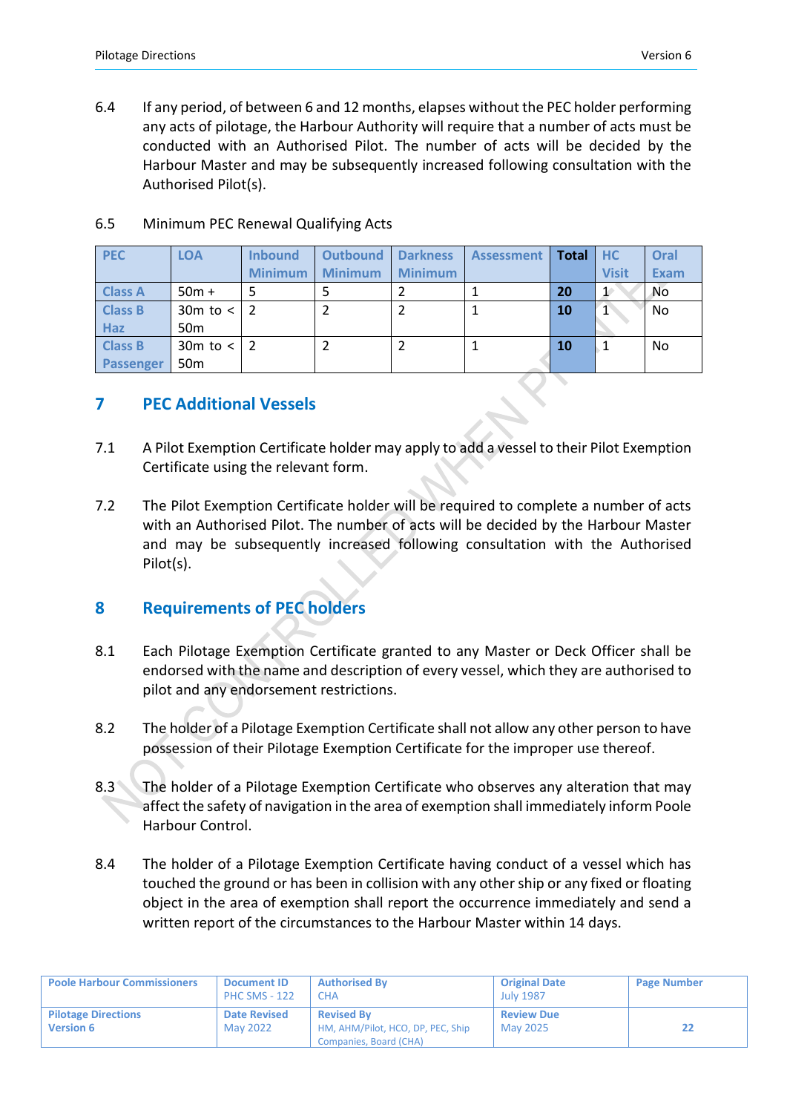6.4 If any period, of between 6 and 12 months, elapses without the PEC holder performing any acts of pilotage, the Harbour Authority will require that a number of acts must be conducted with an Authorised Pilot. The number of acts will be decided by the Harbour Master and may be subsequently increased following consultation with the Authorised Pilot(s).

| <b>PEC</b>       | <b>LOA</b>      | <b>Inbound</b> | <b>Outbound</b> | <b>Darkness</b> | <b>Assessment</b> | Total | <b>HC</b>    | Oral        |
|------------------|-----------------|----------------|-----------------|-----------------|-------------------|-------|--------------|-------------|
|                  |                 | <b>Minimum</b> | <b>Minimum</b>  | <b>Minimum</b>  |                   |       | <b>Visit</b> | <b>Exam</b> |
| <b>Class A</b>   | $50m +$         |                |                 |                 |                   | 20    | $\mathbf{1}$ | <b>No</b>   |
| <b>Class B</b>   | $30m$ to $\lt$  |                |                 |                 |                   | 10    |              | No.         |
| <b>Haz</b>       | 50 <sub>m</sub> |                |                 |                 |                   |       |              |             |
| <b>Class B</b>   | $30m$ to $\lt$  |                | 2               |                 |                   | 10    |              | No.         |
| <b>Passenger</b> | 50 <sub>m</sub> |                |                 |                 |                   |       |              |             |

#### 6.5 Minimum PEC Renewal Qualifying Acts

### **7 PEC Additional Vessels**

- 7.1 A Pilot Exemption Certificate holder may apply to add a vessel to their Pilot Exemption Certificate using the relevant form.
- 7.2 The Pilot Exemption Certificate holder will be required to complete a number of acts with an Authorised Pilot. The number of acts will be decided by the Harbour Master and may be subsequently increased following consultation with the Authorised Pilot(s).

## **8 Requirements of PEC holders**

- 8.1 Each Pilotage Exemption Certificate granted to any Master or Deck Officer shall be endorsed with the name and description of every vessel, which they are authorised to pilot and any endorsement restrictions.
- 8.2 The holder of a Pilotage Exemption Certificate shall not allow any other person to have possession of their Pilotage Exemption Certificate for the improper use thereof.
- 8.3 The holder of a Pilotage Exemption Certificate who observes any alteration that may affect the safety of navigation in the area of exemption shall immediately inform Poole Harbour Control.
- 8.4 The holder of a Pilotage Exemption Certificate having conduct of a vessel which has touched the ground or has been in collision with any other ship or any fixed or floating object in the area of exemption shall report the occurrence immediately and send a written report of the circumstances to the Harbour Master within 14 days.

| <b>Poole Harbour Commissioners</b>             | <b>Document ID</b><br><b>PHC SMS - 122</b> | <b>Authorised By</b><br><b>CHA</b>                                               | <b>Original Date</b><br><b>July 1987</b> | <b>Page Number</b> |
|------------------------------------------------|--------------------------------------------|----------------------------------------------------------------------------------|------------------------------------------|--------------------|
| <b>Pilotage Directions</b><br><b>Version 6</b> | <b>Date Revised</b><br>May 2022            | <b>Revised By</b><br>HM, AHM/Pilot, HCO, DP, PEC, Ship<br>Companies, Board (CHA) | <b>Review Due</b><br><b>May 2025</b>     |                    |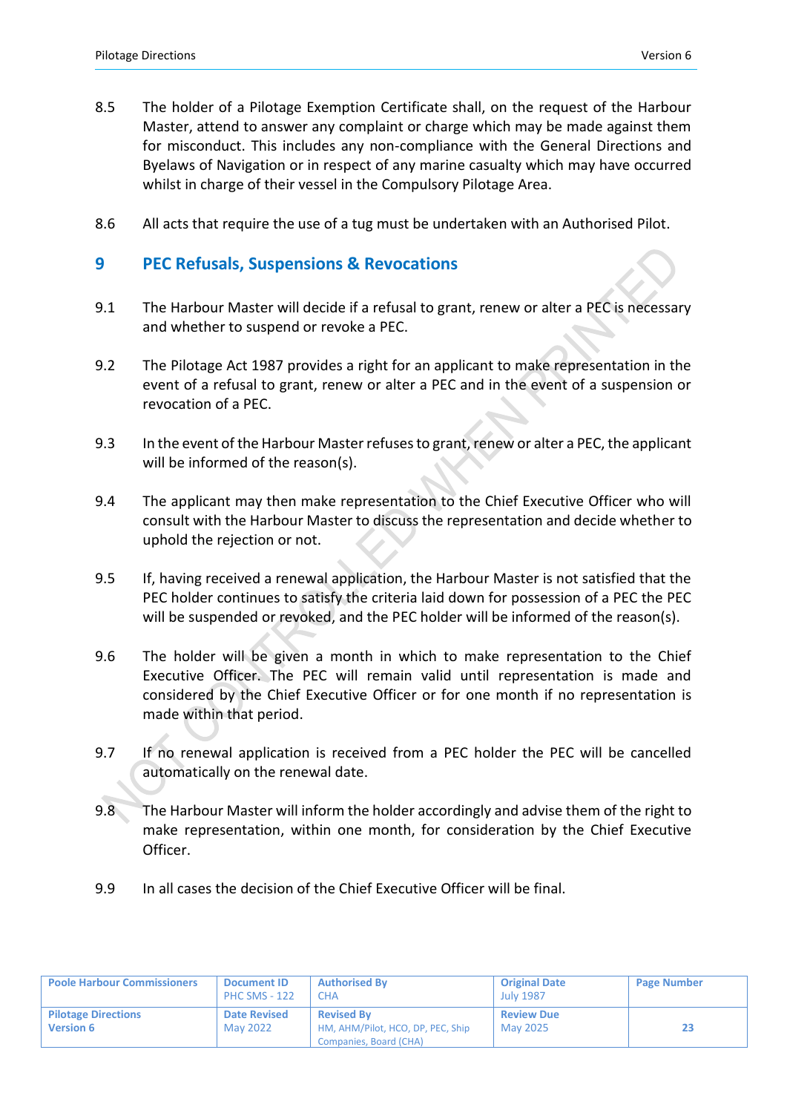- 8.5 The holder of a Pilotage Exemption Certificate shall, on the request of the Harbour Master, attend to answer any complaint or charge which may be made against them for misconduct. This includes any non-compliance with the General Directions and Byelaws of Navigation or in respect of any marine casualty which may have occurred whilst in charge of their vessel in the Compulsory Pilotage Area.
- 8.6 All acts that require the use of a tug must be undertaken with an Authorised Pilot.

#### **9 PEC Refusals, Suspensions & Revocations**

- 9.1 The Harbour Master will decide if a refusal to grant, renew or alter a PEC is necessary and whether to suspend or revoke a PEC.
- 9.2 The Pilotage Act 1987 provides a right for an applicant to make representation in the event of a refusal to grant, renew or alter a PEC and in the event of a suspension or revocation of a PEC.
- 9.3 In the event of the Harbour Master refuses to grant, renew or alter a PEC, the applicant will be informed of the reason(s).
- 9.4 The applicant may then make representation to the Chief Executive Officer who will consult with the Harbour Master to discuss the representation and decide whether to uphold the rejection or not.
- 9.5 If, having received a renewal application, the Harbour Master is not satisfied that the PEC holder continues to satisfy the criteria laid down for possession of a PEC the PEC will be suspended or revoked, and the PEC holder will be informed of the reason(s).
- 9.6 The holder will be given a month in which to make representation to the Chief Executive Officer. The PEC will remain valid until representation is made and considered by the Chief Executive Officer or for one month if no representation is made within that period.
- 9.7 If no renewal application is received from a PEC holder the PEC will be cancelled automatically on the renewal date.
- 9.8 The Harbour Master will inform the holder accordingly and advise them of the right to make representation, within one month, for consideration by the Chief Executive Officer.
- 9.9 In all cases the decision of the Chief Executive Officer will be final.

| <b>Poole Harbour Commissioners</b>             | <b>Document ID</b><br><b>PHC SMS - 122</b> | <b>Authorised By</b><br><b>CHA</b>                                               | <b>Original Date</b><br><b>July 1987</b> | <b>Page Number</b> |
|------------------------------------------------|--------------------------------------------|----------------------------------------------------------------------------------|------------------------------------------|--------------------|
| <b>Pilotage Directions</b><br><b>Version 6</b> | <b>Date Revised</b><br>May 2022            | <b>Revised By</b><br>HM, AHM/Pilot, HCO, DP, PEC, Ship<br>Companies, Board (CHA) | <b>Review Due</b><br>May 2025            |                    |